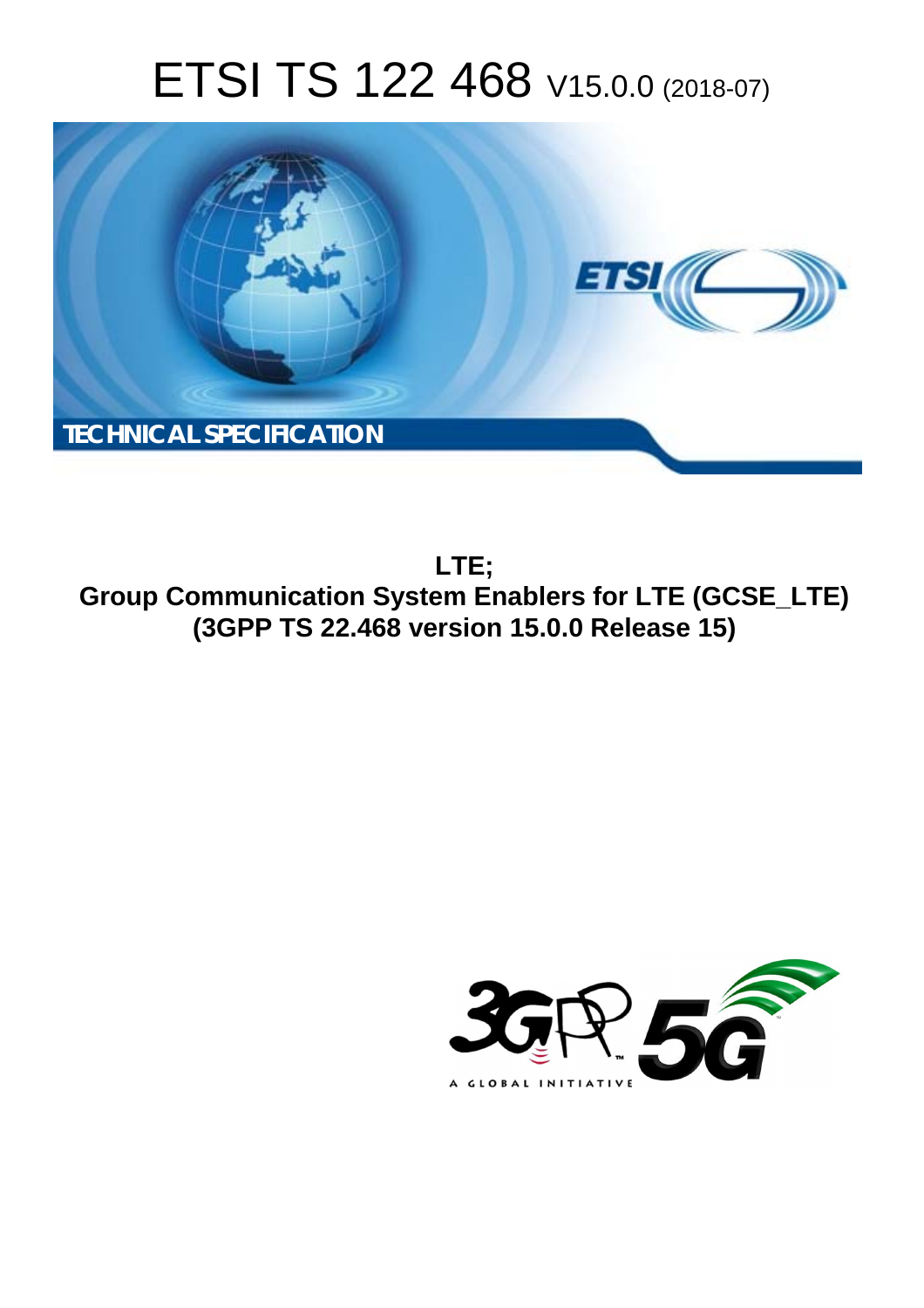# ETSI TS 122 468 V15.0.0 (2018-07)



**LTE; Group Communication System Enablers for LTE (GCSE\_LTE) (3GPP TS 22.468 version 15.0.0 Release 15)** 

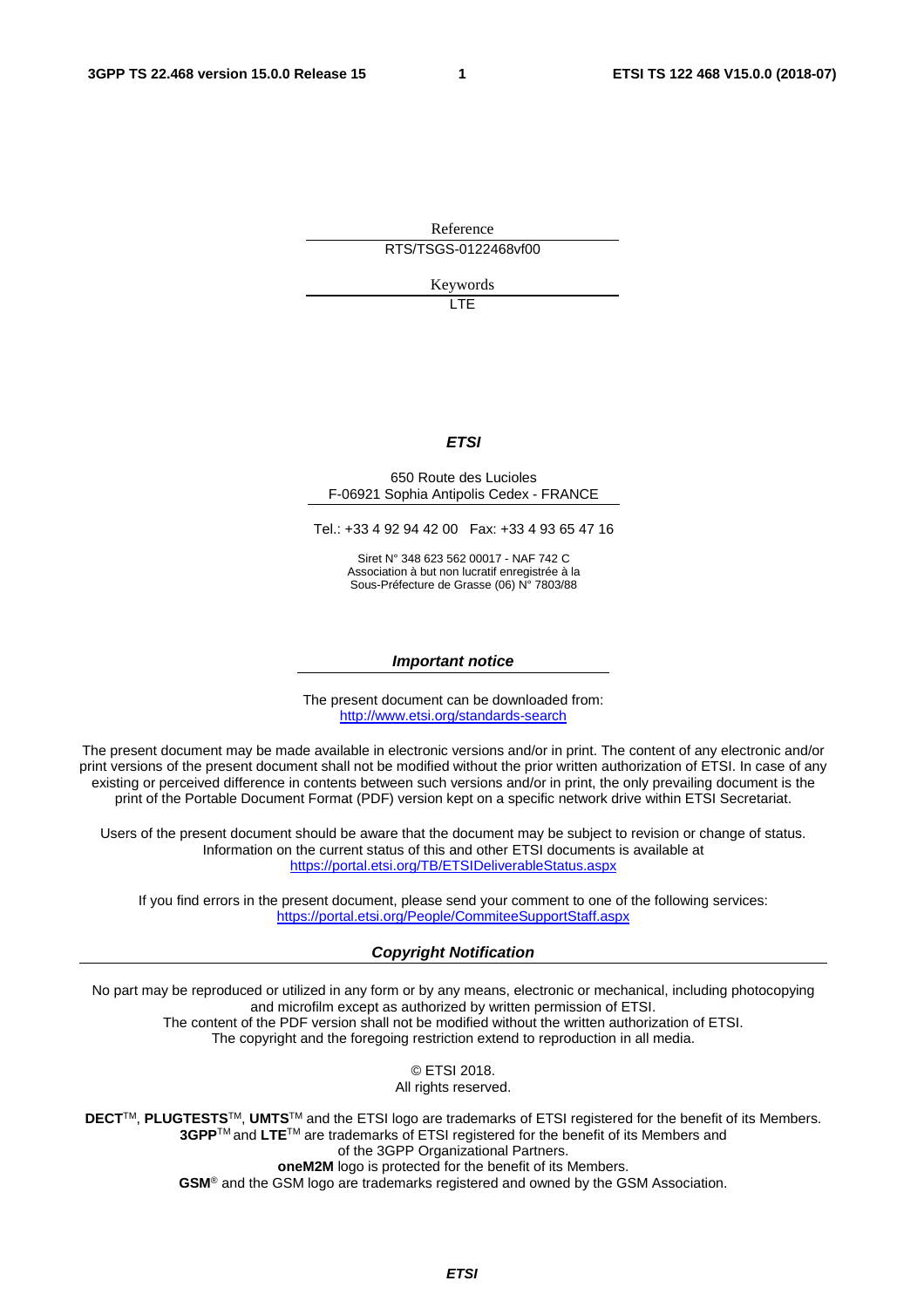Reference RTS/TSGS-0122468vf00

Keywords

LTE

### *ETSI*

#### 650 Route des Lucioles F-06921 Sophia Antipolis Cedex - FRANCE

Tel.: +33 4 92 94 42 00 Fax: +33 4 93 65 47 16

Siret N° 348 623 562 00017 - NAF 742 C Association à but non lucratif enregistrée à la Sous-Préfecture de Grasse (06) N° 7803/88

#### *Important notice*

The present document can be downloaded from: <http://www.etsi.org/standards-search>

The present document may be made available in electronic versions and/or in print. The content of any electronic and/or print versions of the present document shall not be modified without the prior written authorization of ETSI. In case of any existing or perceived difference in contents between such versions and/or in print, the only prevailing document is the print of the Portable Document Format (PDF) version kept on a specific network drive within ETSI Secretariat.

Users of the present document should be aware that the document may be subject to revision or change of status. Information on the current status of this and other ETSI documents is available at <https://portal.etsi.org/TB/ETSIDeliverableStatus.aspx>

If you find errors in the present document, please send your comment to one of the following services: <https://portal.etsi.org/People/CommiteeSupportStaff.aspx>

#### *Copyright Notification*

No part may be reproduced or utilized in any form or by any means, electronic or mechanical, including photocopying and microfilm except as authorized by written permission of ETSI. The content of the PDF version shall not be modified without the written authorization of ETSI. The copyright and the foregoing restriction extend to reproduction in all media.

> © ETSI 2018. All rights reserved.

**DECT**TM, **PLUGTESTS**TM, **UMTS**TM and the ETSI logo are trademarks of ETSI registered for the benefit of its Members. **3GPP**TM and **LTE**TM are trademarks of ETSI registered for the benefit of its Members and of the 3GPP Organizational Partners. **oneM2M** logo is protected for the benefit of its Members.

**GSM**® and the GSM logo are trademarks registered and owned by the GSM Association.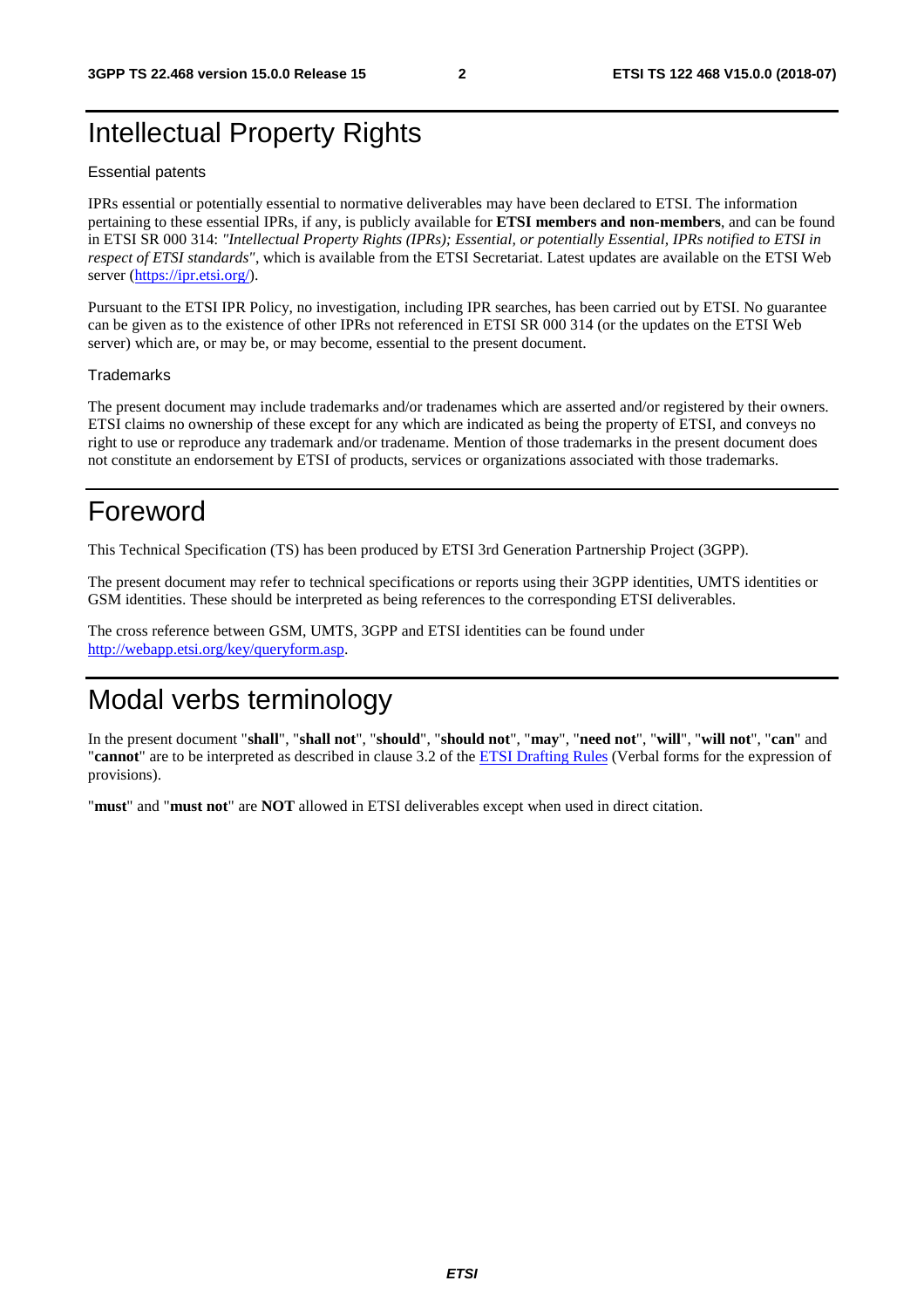## Intellectual Property Rights

#### Essential patents

IPRs essential or potentially essential to normative deliverables may have been declared to ETSI. The information pertaining to these essential IPRs, if any, is publicly available for **ETSI members and non-members**, and can be found in ETSI SR 000 314: *"Intellectual Property Rights (IPRs); Essential, or potentially Essential, IPRs notified to ETSI in respect of ETSI standards"*, which is available from the ETSI Secretariat. Latest updates are available on the ETSI Web server ([https://ipr.etsi.org/\)](https://ipr.etsi.org/).

Pursuant to the ETSI IPR Policy, no investigation, including IPR searches, has been carried out by ETSI. No guarantee can be given as to the existence of other IPRs not referenced in ETSI SR 000 314 (or the updates on the ETSI Web server) which are, or may be, or may become, essential to the present document.

#### **Trademarks**

The present document may include trademarks and/or tradenames which are asserted and/or registered by their owners. ETSI claims no ownership of these except for any which are indicated as being the property of ETSI, and conveys no right to use or reproduce any trademark and/or tradename. Mention of those trademarks in the present document does not constitute an endorsement by ETSI of products, services or organizations associated with those trademarks.

## Foreword

This Technical Specification (TS) has been produced by ETSI 3rd Generation Partnership Project (3GPP).

The present document may refer to technical specifications or reports using their 3GPP identities, UMTS identities or GSM identities. These should be interpreted as being references to the corresponding ETSI deliverables.

The cross reference between GSM, UMTS, 3GPP and ETSI identities can be found under [http://webapp.etsi.org/key/queryform.asp.](http://webapp.etsi.org/key/queryform.asp)

## Modal verbs terminology

In the present document "**shall**", "**shall not**", "**should**", "**should not**", "**may**", "**need not**", "**will**", "**will not**", "**can**" and "**cannot**" are to be interpreted as described in clause 3.2 of the [ETSI Drafting Rules](https://portal.etsi.org/Services/editHelp!/Howtostart/ETSIDraftingRules.aspx) (Verbal forms for the expression of provisions).

"**must**" and "**must not**" are **NOT** allowed in ETSI deliverables except when used in direct citation.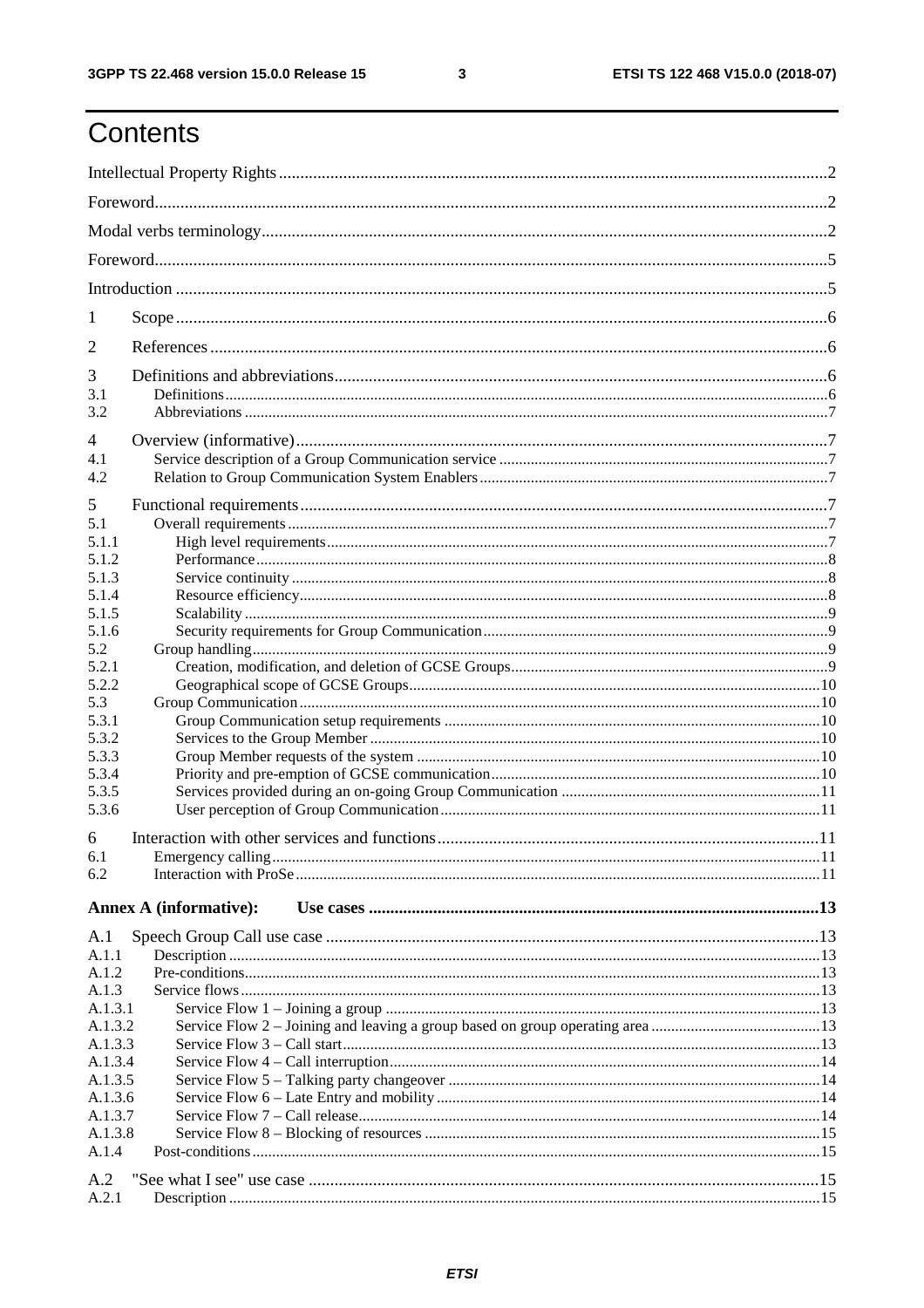$\mathbf{3}$ 

## Contents

| 1                  |                               |  |  |  |  |  |  |
|--------------------|-------------------------------|--|--|--|--|--|--|
| 2                  |                               |  |  |  |  |  |  |
| 3                  |                               |  |  |  |  |  |  |
| 3.1                |                               |  |  |  |  |  |  |
| 3.2                |                               |  |  |  |  |  |  |
| 4                  |                               |  |  |  |  |  |  |
| 4.1                |                               |  |  |  |  |  |  |
| 4.2                |                               |  |  |  |  |  |  |
| 5                  |                               |  |  |  |  |  |  |
| 5.1                |                               |  |  |  |  |  |  |
| 5.1.1              |                               |  |  |  |  |  |  |
| 5.1.2              |                               |  |  |  |  |  |  |
| 5.1.3              |                               |  |  |  |  |  |  |
| 5.1.4              |                               |  |  |  |  |  |  |
| 5.1.5<br>5.1.6     |                               |  |  |  |  |  |  |
| 5.2                |                               |  |  |  |  |  |  |
| 5.2.1              |                               |  |  |  |  |  |  |
| 5.2.2              |                               |  |  |  |  |  |  |
| 5.3                |                               |  |  |  |  |  |  |
| 5.3.1              |                               |  |  |  |  |  |  |
| 5.3.2              |                               |  |  |  |  |  |  |
| 5.3.3<br>5.3.4     |                               |  |  |  |  |  |  |
| 5.3.5              |                               |  |  |  |  |  |  |
| 5.3.6              |                               |  |  |  |  |  |  |
|                    |                               |  |  |  |  |  |  |
| 6<br>6.1           |                               |  |  |  |  |  |  |
| 6.2                |                               |  |  |  |  |  |  |
|                    |                               |  |  |  |  |  |  |
|                    | <b>Annex A (informative):</b> |  |  |  |  |  |  |
| A.1                |                               |  |  |  |  |  |  |
| A.1.1<br>A.1.2     |                               |  |  |  |  |  |  |
| A.1.3              |                               |  |  |  |  |  |  |
| A.1.3.1            |                               |  |  |  |  |  |  |
| A.1.3.2            |                               |  |  |  |  |  |  |
| A.1.3.3            |                               |  |  |  |  |  |  |
| A.1.3.4            |                               |  |  |  |  |  |  |
| A.1.3.5            |                               |  |  |  |  |  |  |
| A.1.3.6<br>A.1.3.7 |                               |  |  |  |  |  |  |
| A.1.3.8            |                               |  |  |  |  |  |  |
| A.1.4              |                               |  |  |  |  |  |  |
|                    |                               |  |  |  |  |  |  |
| A.2<br>A.2.1       |                               |  |  |  |  |  |  |
|                    |                               |  |  |  |  |  |  |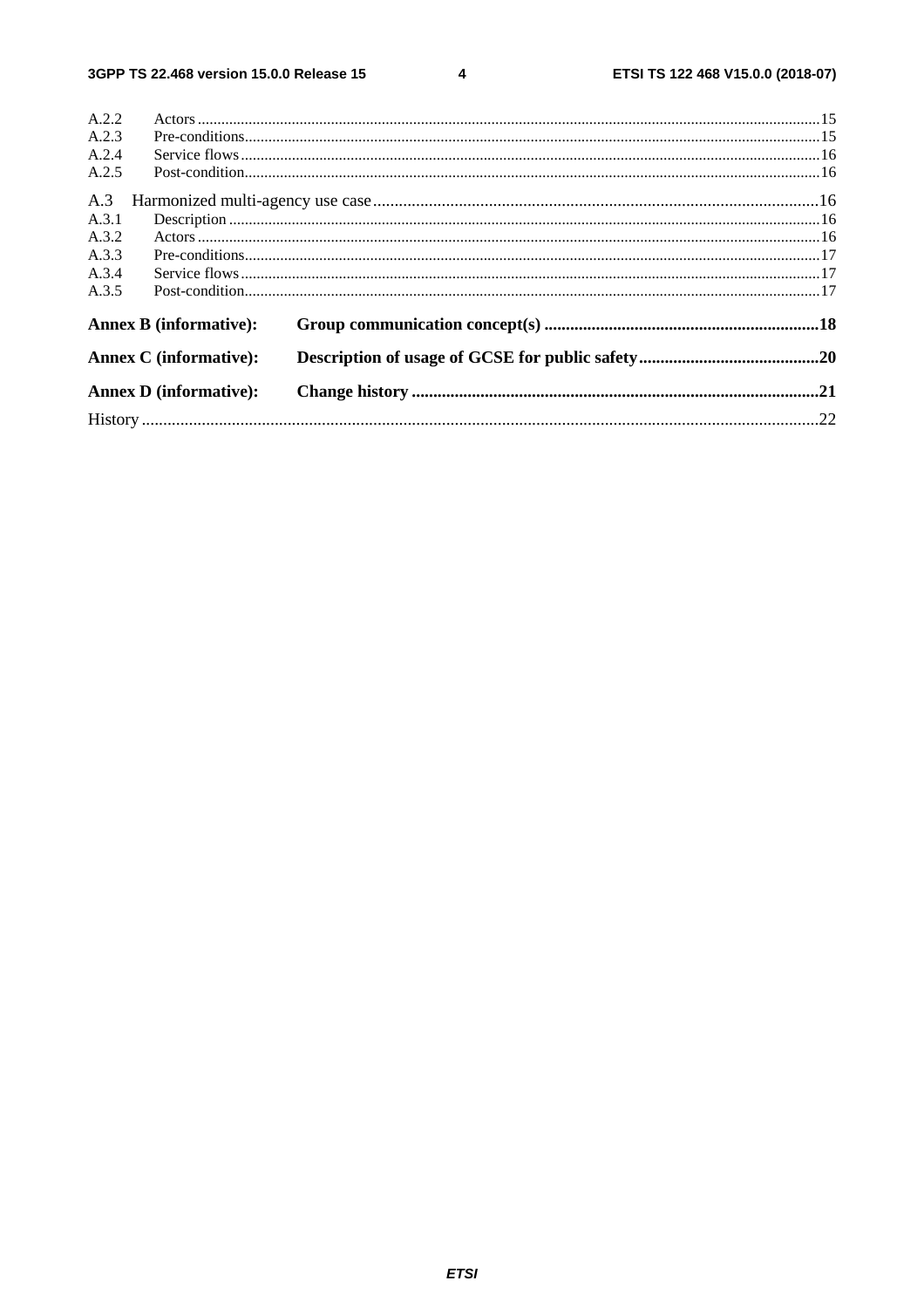$\overline{\mathbf{4}}$ 

| A.2.2                         |                               |  |
|-------------------------------|-------------------------------|--|
| A.2.3                         |                               |  |
| A.2.4                         |                               |  |
| A.2.5                         |                               |  |
| A.3                           |                               |  |
| A.3.1                         |                               |  |
| A.3.2                         |                               |  |
| A.3.3                         |                               |  |
| A.3.4                         |                               |  |
| A.3.5                         |                               |  |
|                               | <b>Annex B</b> (informative): |  |
|                               | <b>Annex C</b> (informative): |  |
| <b>Annex D</b> (informative): |                               |  |
|                               |                               |  |
|                               |                               |  |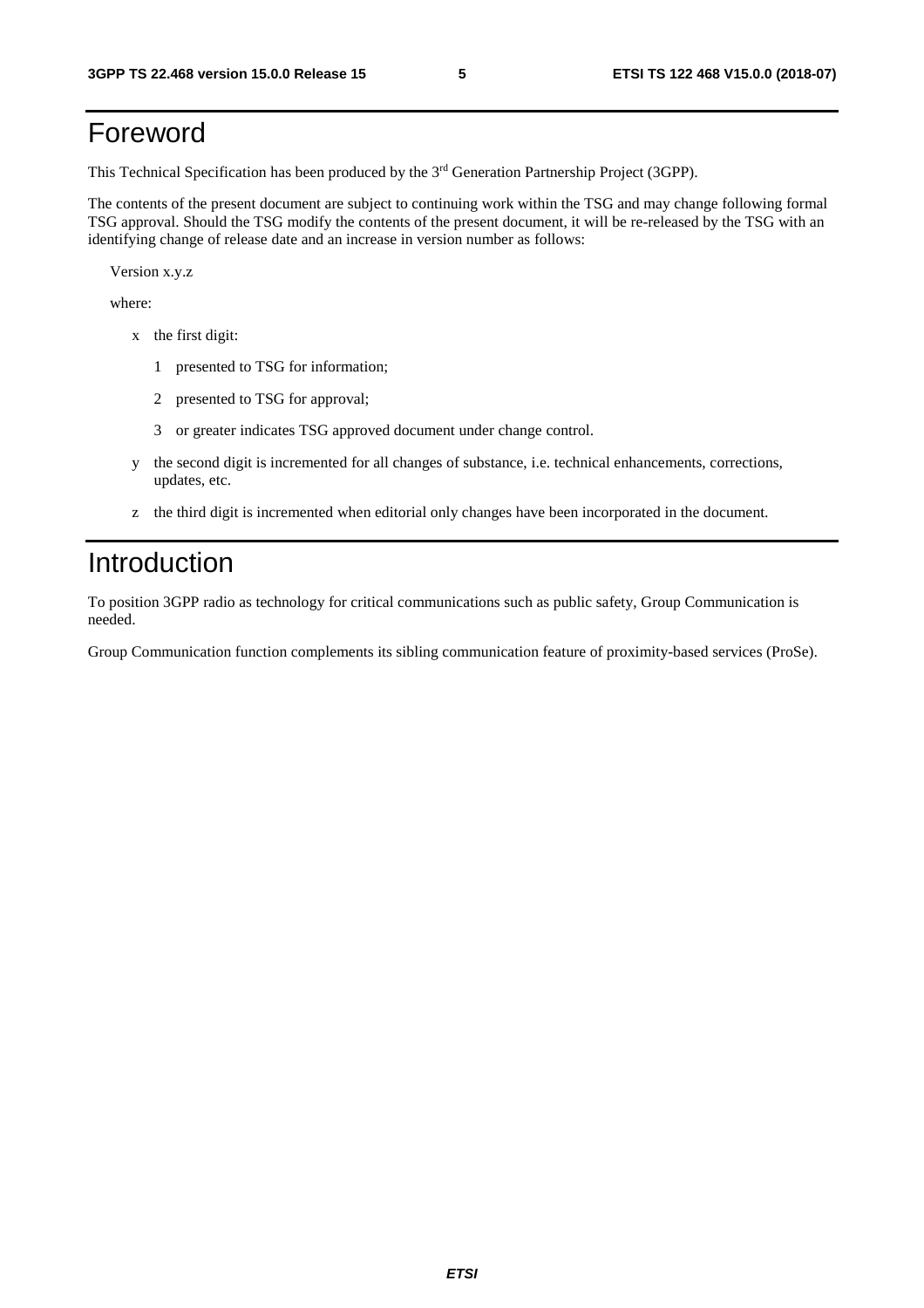## Foreword

This Technical Specification has been produced by the 3rd Generation Partnership Project (3GPP).

The contents of the present document are subject to continuing work within the TSG and may change following formal TSG approval. Should the TSG modify the contents of the present document, it will be re-released by the TSG with an identifying change of release date and an increase in version number as follows:

Version x.y.z

where:

- x the first digit:
	- 1 presented to TSG for information;
	- 2 presented to TSG for approval;
	- 3 or greater indicates TSG approved document under change control.
- y the second digit is incremented for all changes of substance, i.e. technical enhancements, corrections, updates, etc.
- z the third digit is incremented when editorial only changes have been incorporated in the document.

## Introduction

To position 3GPP radio as technology for critical communications such as public safety, Group Communication is needed.

Group Communication function complements its sibling communication feature of proximity-based services (ProSe).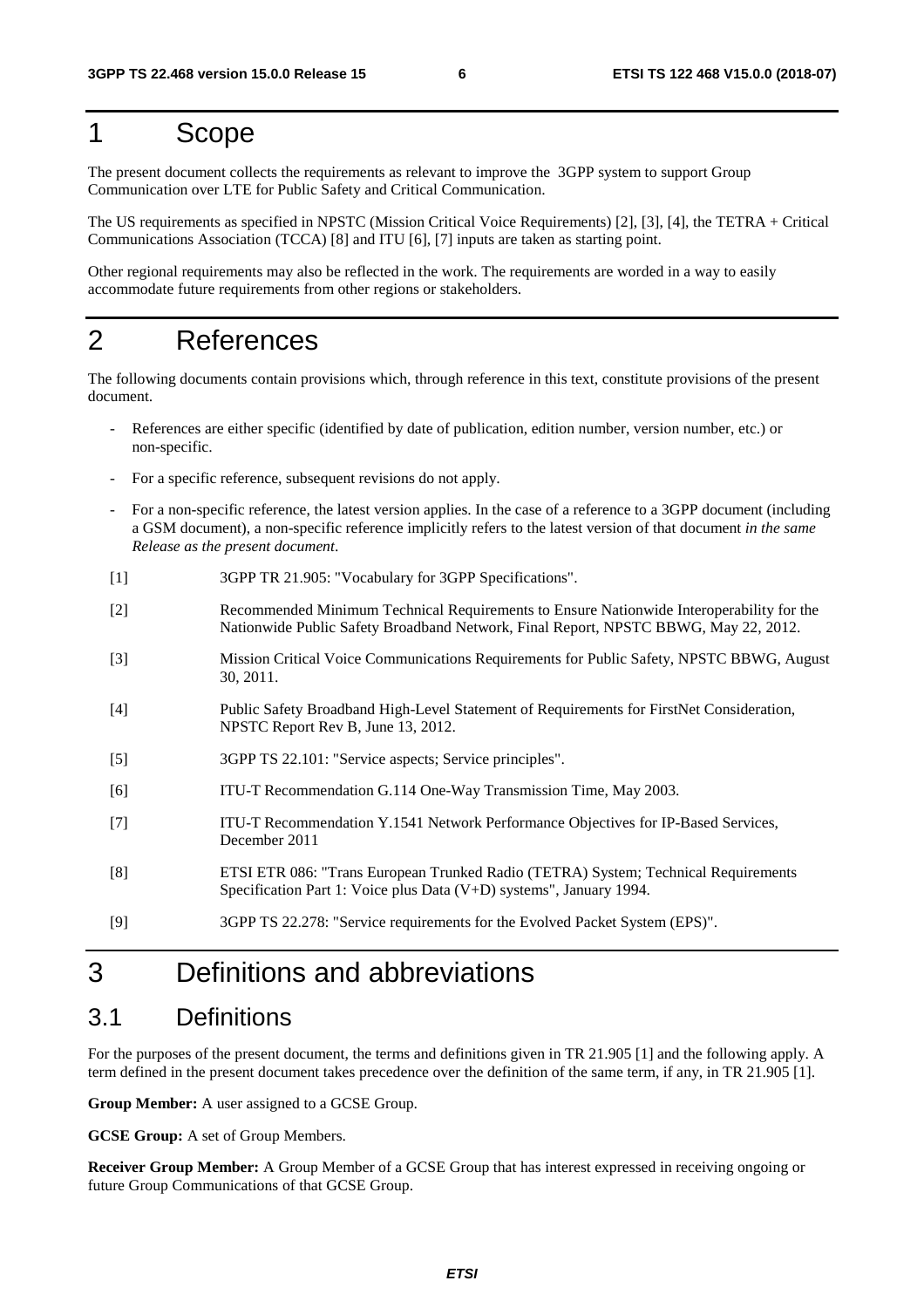## 1 Scope

The present document collects the requirements as relevant to improve the 3GPP system to support Group Communication over LTE for Public Safety and Critical Communication.

The US requirements as specified in NPSTC (Mission Critical Voice Requirements) [2], [3], [4], the TETRA + Critical Communications Association (TCCA) [8] and ITU [6], [7] inputs are taken as starting point.

Other regional requirements may also be reflected in the work. The requirements are worded in a way to easily accommodate future requirements from other regions or stakeholders.

## 2 References

The following documents contain provisions which, through reference in this text, constitute provisions of the present document.

- References are either specific (identified by date of publication, edition number, version number, etc.) or non-specific.
- For a specific reference, subsequent revisions do not apply.
- For a non-specific reference, the latest version applies. In the case of a reference to a 3GPP document (including a GSM document), a non-specific reference implicitly refers to the latest version of that document *in the same Release as the present document*.
- [1] 3GPP TR 21.905: "Vocabulary for 3GPP Specifications".
- [2] Recommended Minimum Technical Requirements to Ensure Nationwide Interoperability for the Nationwide Public Safety Broadband Network, Final Report, NPSTC BBWG, May 22, 2012.
- [3] Mission Critical Voice Communications Requirements for Public Safety, NPSTC BBWG, August 30, 2011.
- [4] Public Safety Broadband High-Level Statement of Requirements for FirstNet Consideration, NPSTC Report Rev B, June 13, 2012.
- [5] 3GPP TS 22.101: "Service aspects; Service principles".
- [6] ITU-T Recommendation G.114 One-Way Transmission Time, May 2003.
- [7] ITU-T Recommendation Y.1541 Network Performance Objectives for IP-Based Services, December 2011
- [8] ETSI ETR 086: "Trans European Trunked Radio (TETRA) System; Technical Requirements Specification Part 1: Voice plus Data (V+D) systems", January 1994.
- [9] 3GPP TS 22.278: "Service requirements for the Evolved Packet System (EPS)".

## 3 Definitions and abbreviations

## 3.1 Definitions

For the purposes of the present document, the terms and definitions given in TR 21.905 [1] and the following apply. A term defined in the present document takes precedence over the definition of the same term, if any, in TR 21.905 [1].

**Group Member:** A user assigned to a GCSE Group.

**GCSE Group:** A set of Group Members.

**Receiver Group Member:** A Group Member of a GCSE Group that has interest expressed in receiving ongoing or future Group Communications of that GCSE Group.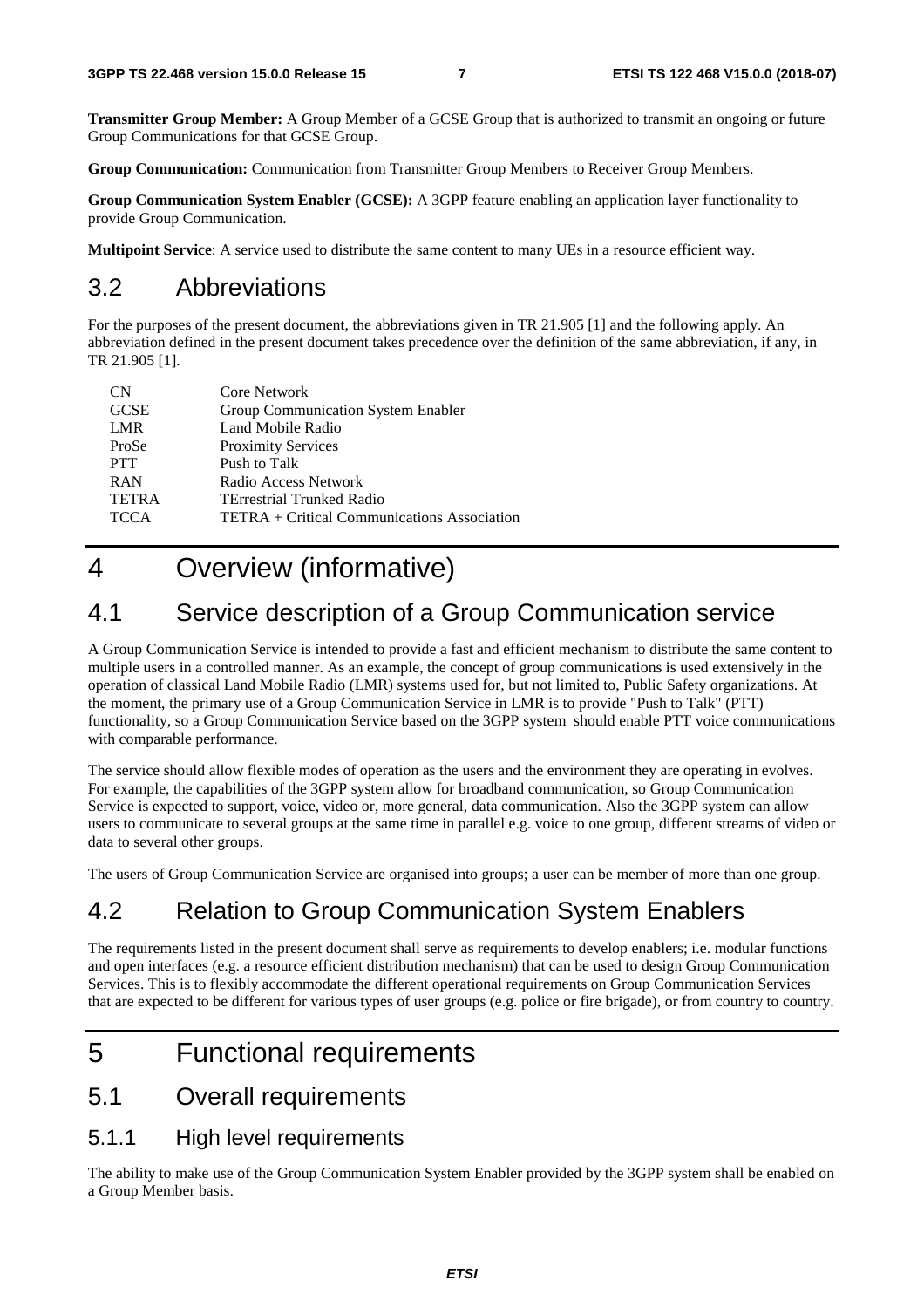**Transmitter Group Member:** A Group Member of a GCSE Group that is authorized to transmit an ongoing or future Group Communications for that GCSE Group.

**Group Communication:** Communication from Transmitter Group Members to Receiver Group Members.

**Group Communication System Enabler (GCSE):** A 3GPP feature enabling an application layer functionality to provide Group Communication.

**Multipoint Service**: A service used to distribute the same content to many UEs in a resource efficient way.

## 3.2 Abbreviations

For the purposes of the present document, the abbreviations given in TR 21.905 [1] and the following apply. An abbreviation defined in the present document takes precedence over the definition of the same abbreviation, if any, in TR 21.905 [1].

| <b>CN</b>    | Core Network                                |
|--------------|---------------------------------------------|
| <b>GCSE</b>  | Group Communication System Enabler          |
| LMR          | Land Mobile Radio                           |
| ProSe        | <b>Proximity Services</b>                   |
| <b>PTT</b>   | Push to Talk                                |
| <b>RAN</b>   | Radio Access Network                        |
| <b>TETRA</b> | <b>TErrestrial Trunked Radio</b>            |
| <b>TCCA</b>  | TETRA + Critical Communications Association |

## 4 Overview (informative)

## 4.1 Service description of a Group Communication service

A Group Communication Service is intended to provide a fast and efficient mechanism to distribute the same content to multiple users in a controlled manner. As an example, the concept of group communications is used extensively in the operation of classical Land Mobile Radio (LMR) systems used for, but not limited to, Public Safety organizations. At the moment, the primary use of a Group Communication Service in LMR is to provide "Push to Talk" (PTT) functionality, so a Group Communication Service based on the 3GPP system should enable PTT voice communications with comparable performance.

The service should allow flexible modes of operation as the users and the environment they are operating in evolves. For example, the capabilities of the 3GPP system allow for broadband communication, so Group Communication Service is expected to support, voice, video or, more general, data communication. Also the 3GPP system can allow users to communicate to several groups at the same time in parallel e.g. voice to one group, different streams of video or data to several other groups.

The users of Group Communication Service are organised into groups; a user can be member of more than one group.

## 4.2 Relation to Group Communication System Enablers

The requirements listed in the present document shall serve as requirements to develop enablers; i.e. modular functions and open interfaces (e.g. a resource efficient distribution mechanism) that can be used to design Group Communication Services. This is to flexibly accommodate the different operational requirements on Group Communication Services that are expected to be different for various types of user groups (e.g. police or fire brigade), or from country to country.

## 5 Functional requirements

## 5.1 Overall requirements

### 5.1.1 High level requirements

The ability to make use of the Group Communication System Enabler provided by the 3GPP system shall be enabled on a Group Member basis.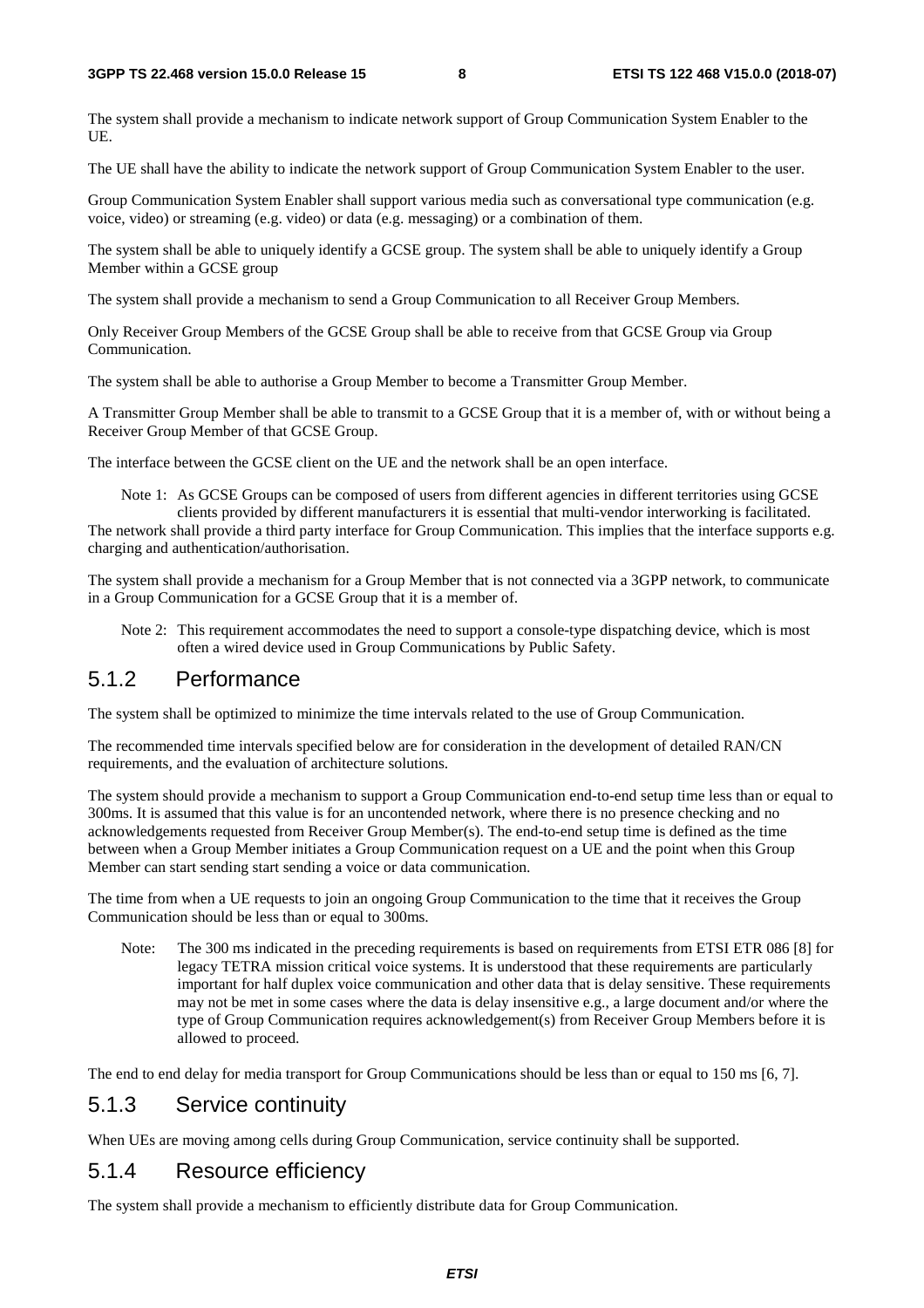The system shall provide a mechanism to indicate network support of Group Communication System Enabler to the UE.

The UE shall have the ability to indicate the network support of Group Communication System Enabler to the user.

Group Communication System Enabler shall support various media such as conversational type communication (e.g. voice, video) or streaming (e.g. video) or data (e.g. messaging) or a combination of them.

The system shall be able to uniquely identify a GCSE group. The system shall be able to uniquely identify a Group Member within a GCSE group

The system shall provide a mechanism to send a Group Communication to all Receiver Group Members.

Only Receiver Group Members of the GCSE Group shall be able to receive from that GCSE Group via Group Communication.

The system shall be able to authorise a Group Member to become a Transmitter Group Member.

A Transmitter Group Member shall be able to transmit to a GCSE Group that it is a member of, with or without being a Receiver Group Member of that GCSE Group.

The interface between the GCSE client on the UE and the network shall be an open interface.

Note 1: As GCSE Groups can be composed of users from different agencies in different territories using GCSE clients provided by different manufacturers it is essential that multi-vendor interworking is facilitated. The network shall provide a third party interface for Group Communication. This implies that the interface supports e.g. charging and authentication/authorisation.

The system shall provide a mechanism for a Group Member that is not connected via a 3GPP network, to communicate in a Group Communication for a GCSE Group that it is a member of.

Note 2: This requirement accommodates the need to support a console-type dispatching device, which is most often a wired device used in Group Communications by Public Safety.

### 5.1.2 Performance

The system shall be optimized to minimize the time intervals related to the use of Group Communication.

The recommended time intervals specified below are for consideration in the development of detailed RAN/CN requirements, and the evaluation of architecture solutions.

The system should provide a mechanism to support a Group Communication end-to-end setup time less than or equal to 300ms. It is assumed that this value is for an uncontended network, where there is no presence checking and no acknowledgements requested from Receiver Group Member(s). The end-to-end setup time is defined as the time between when a Group Member initiates a Group Communication request on a UE and the point when this Group Member can start sending start sending a voice or data communication.

The time from when a UE requests to join an ongoing Group Communication to the time that it receives the Group Communication should be less than or equal to 300ms.

Note: The 300 ms indicated in the preceding requirements is based on requirements from ETSI ETR 086 [8] for legacy TETRA mission critical voice systems. It is understood that these requirements are particularly important for half duplex voice communication and other data that is delay sensitive. These requirements may not be met in some cases where the data is delay insensitive e.g., a large document and/or where the type of Group Communication requires acknowledgement(s) from Receiver Group Members before it is allowed to proceed.

The end to end delay for media transport for Group Communications should be less than or equal to 150 ms [6, 7].

### 5.1.3 Service continuity

When UEs are moving among cells during Group Communication, service continuity shall be supported.

### 5.1.4 Resource efficiency

The system shall provide a mechanism to efficiently distribute data for Group Communication.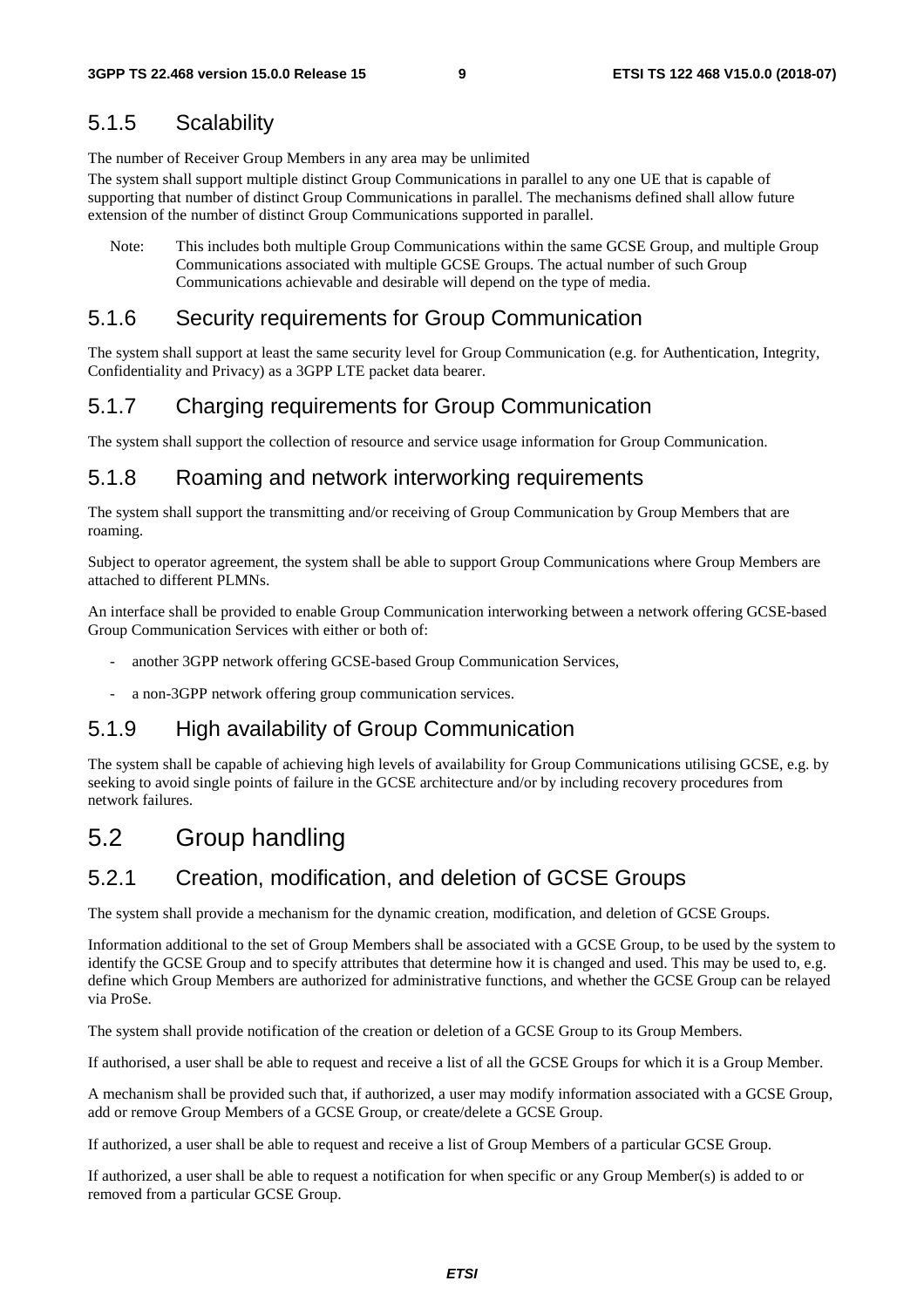### 5.1.5 Scalability

The number of Receiver Group Members in any area may be unlimited

The system shall support multiple distinct Group Communications in parallel to any one UE that is capable of supporting that number of distinct Group Communications in parallel. The mechanisms defined shall allow future extension of the number of distinct Group Communications supported in parallel.

Note: This includes both multiple Group Communications within the same GCSE Group, and multiple Group Communications associated with multiple GCSE Groups. The actual number of such Group Communications achievable and desirable will depend on the type of media.

### 5.1.6 Security requirements for Group Communication

The system shall support at least the same security level for Group Communication (e.g. for Authentication, Integrity, Confidentiality and Privacy) as a 3GPP LTE packet data bearer.

### 5.1.7 Charging requirements for Group Communication

The system shall support the collection of resource and service usage information for Group Communication.

### 5.1.8 Roaming and network interworking requirements

The system shall support the transmitting and/or receiving of Group Communication by Group Members that are roaming.

Subject to operator agreement, the system shall be able to support Group Communications where Group Members are attached to different PLMNs.

An interface shall be provided to enable Group Communication interworking between a network offering GCSE-based Group Communication Services with either or both of:

- another 3GPP network offering GCSE-based Group Communication Services,
- a non-3GPP network offering group communication services.

### 5.1.9 High availability of Group Communication

The system shall be capable of achieving high levels of availability for Group Communications utilising GCSE, e.g. by seeking to avoid single points of failure in the GCSE architecture and/or by including recovery procedures from network failures.

## 5.2 Group handling

## 5.2.1 Creation, modification, and deletion of GCSE Groups

The system shall provide a mechanism for the dynamic creation, modification, and deletion of GCSE Groups.

Information additional to the set of Group Members shall be associated with a GCSE Group, to be used by the system to identify the GCSE Group and to specify attributes that determine how it is changed and used. This may be used to, e.g. define which Group Members are authorized for administrative functions, and whether the GCSE Group can be relayed via ProSe.

The system shall provide notification of the creation or deletion of a GCSE Group to its Group Members.

If authorised, a user shall be able to request and receive a list of all the GCSE Groups for which it is a Group Member.

A mechanism shall be provided such that, if authorized, a user may modify information associated with a GCSE Group, add or remove Group Members of a GCSE Group, or create/delete a GCSE Group.

If authorized, a user shall be able to request and receive a list of Group Members of a particular GCSE Group.

If authorized, a user shall be able to request a notification for when specific or any Group Member(s) is added to or removed from a particular GCSE Group.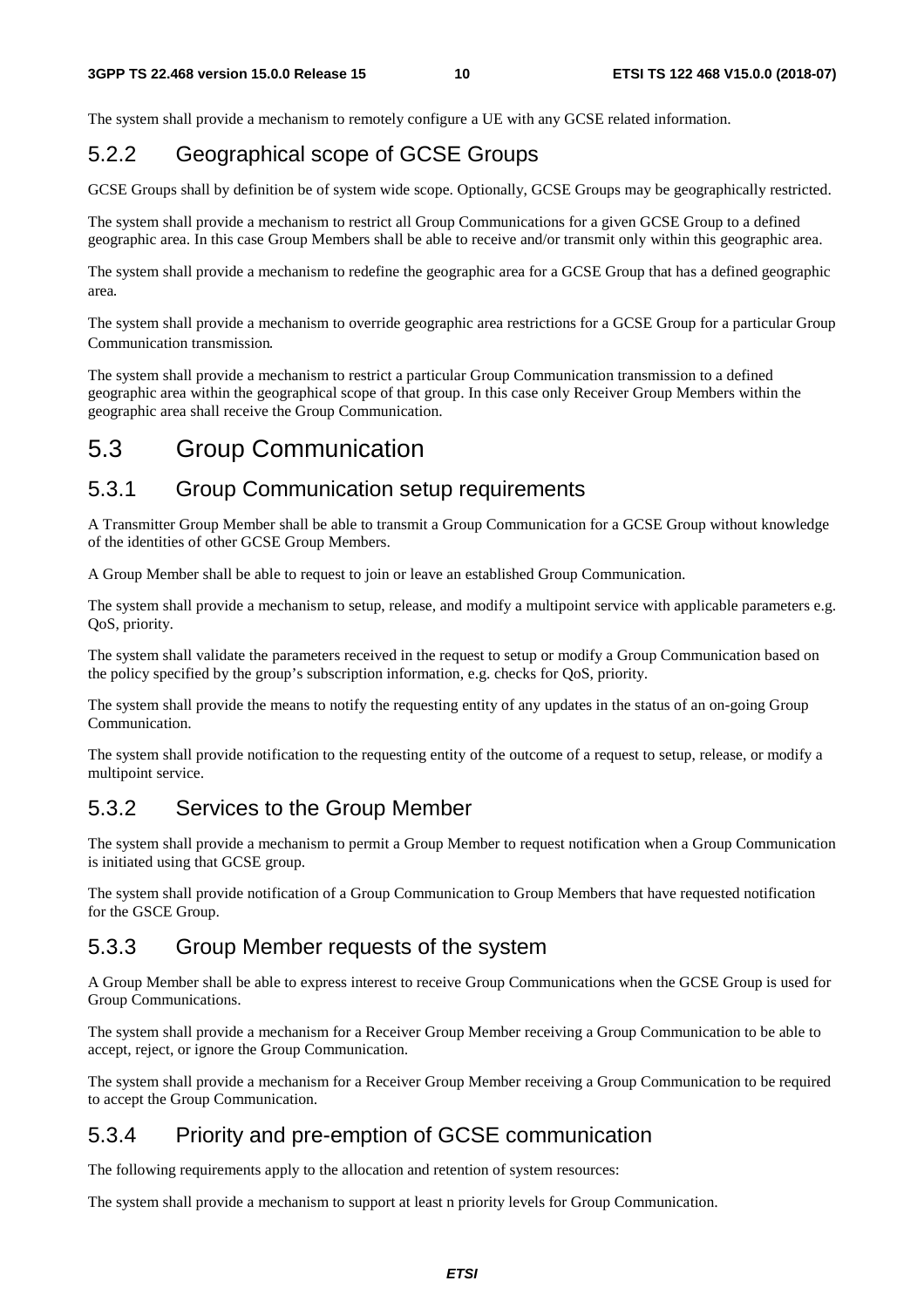The system shall provide a mechanism to remotely configure a UE with any GCSE related information.

## 5.2.2 Geographical scope of GCSE Groups

GCSE Groups shall by definition be of system wide scope. Optionally, GCSE Groups may be geographically restricted.

The system shall provide a mechanism to restrict all Group Communications for a given GCSE Group to a defined geographic area. In this case Group Members shall be able to receive and/or transmit only within this geographic area.

The system shall provide a mechanism to redefine the geographic area for a GCSE Group that has a defined geographic area.

The system shall provide a mechanism to override geographic area restrictions for a GCSE Group for a particular Group Communication transmission.

The system shall provide a mechanism to restrict a particular Group Communication transmission to a defined geographic area within the geographical scope of that group. In this case only Receiver Group Members within the geographic area shall receive the Group Communication.

## 5.3 Group Communication

### 5.3.1 Group Communication setup requirements

A Transmitter Group Member shall be able to transmit a Group Communication for a GCSE Group without knowledge of the identities of other GCSE Group Members.

A Group Member shall be able to request to join or leave an established Group Communication.

The system shall provide a mechanism to setup, release, and modify a multipoint service with applicable parameters e.g. QoS, priority.

The system shall validate the parameters received in the request to setup or modify a Group Communication based on the policy specified by the group's subscription information, e.g. checks for QoS, priority.

The system shall provide the means to notify the requesting entity of any updates in the status of an on-going Group Communication.

The system shall provide notification to the requesting entity of the outcome of a request to setup, release, or modify a multipoint service.

### 5.3.2 Services to the Group Member

The system shall provide a mechanism to permit a Group Member to request notification when a Group Communication is initiated using that GCSE group.

The system shall provide notification of a Group Communication to Group Members that have requested notification for the GSCE Group.

### 5.3.3 Group Member requests of the system

A Group Member shall be able to express interest to receive Group Communications when the GCSE Group is used for Group Communications.

The system shall provide a mechanism for a Receiver Group Member receiving a Group Communication to be able to accept, reject, or ignore the Group Communication.

The system shall provide a mechanism for a Receiver Group Member receiving a Group Communication to be required to accept the Group Communication.

## 5.3.4 Priority and pre-emption of GCSE communication

The following requirements apply to the allocation and retention of system resources:

The system shall provide a mechanism to support at least n priority levels for Group Communication.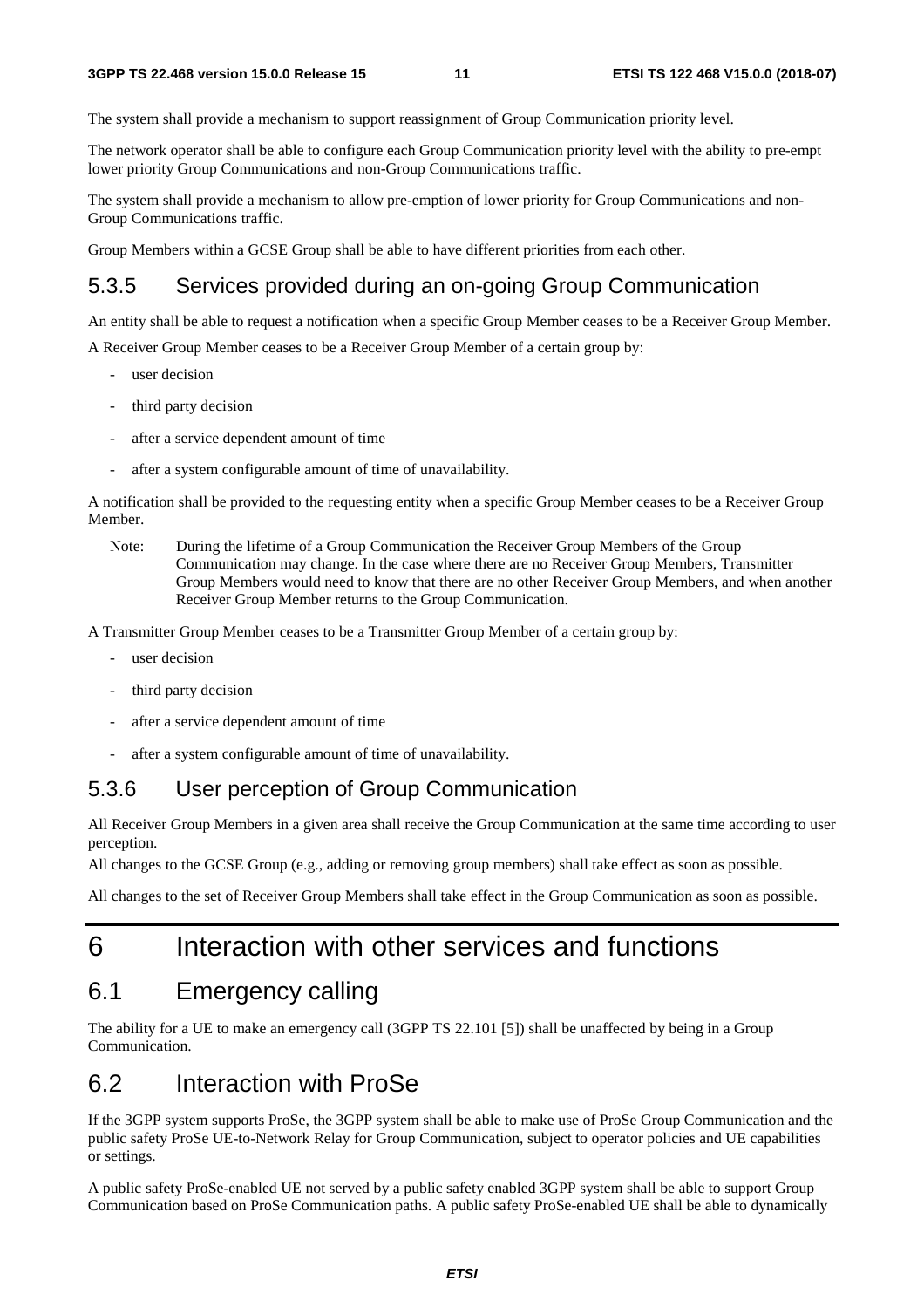The system shall provide a mechanism to support reassignment of Group Communication priority level.

The network operator shall be able to configure each Group Communication priority level with the ability to pre-empt lower priority Group Communications and non-Group Communications traffic.

The system shall provide a mechanism to allow pre-emption of lower priority for Group Communications and non-Group Communications traffic.

Group Members within a GCSE Group shall be able to have different priorities from each other.

## 5.3.5 Services provided during an on-going Group Communication

An entity shall be able to request a notification when a specific Group Member ceases to be a Receiver Group Member.

A Receiver Group Member ceases to be a Receiver Group Member of a certain group by:

- user decision
- third party decision
- after a service dependent amount of time
- after a system configurable amount of time of unavailability.

A notification shall be provided to the requesting entity when a specific Group Member ceases to be a Receiver Group Member.

Note: During the lifetime of a Group Communication the Receiver Group Members of the Group Communication may change. In the case where there are no Receiver Group Members, Transmitter Group Members would need to know that there are no other Receiver Group Members, and when another Receiver Group Member returns to the Group Communication.

A Transmitter Group Member ceases to be a Transmitter Group Member of a certain group by:

- user decision
- third party decision
- after a service dependent amount of time
- after a system configurable amount of time of unavailability.

## 5.3.6 User perception of Group Communication

All Receiver Group Members in a given area shall receive the Group Communication at the same time according to user perception.

All changes to the GCSE Group (e.g., adding or removing group members) shall take effect as soon as possible.

All changes to the set of Receiver Group Members shall take effect in the Group Communication as soon as possible.

## 6 Interaction with other services and functions

## 6.1 Emergency calling

The ability for a UE to make an emergency call (3GPP TS 22.101 [5]) shall be unaffected by being in a Group Communication.

## 6.2 Interaction with ProSe

If the 3GPP system supports ProSe, the 3GPP system shall be able to make use of ProSe Group Communication and the public safety ProSe UE-to-Network Relay for Group Communication, subject to operator policies and UE capabilities or settings.

A public safety ProSe-enabled UE not served by a public safety enabled 3GPP system shall be able to support Group Communication based on ProSe Communication paths. A public safety ProSe-enabled UE shall be able to dynamically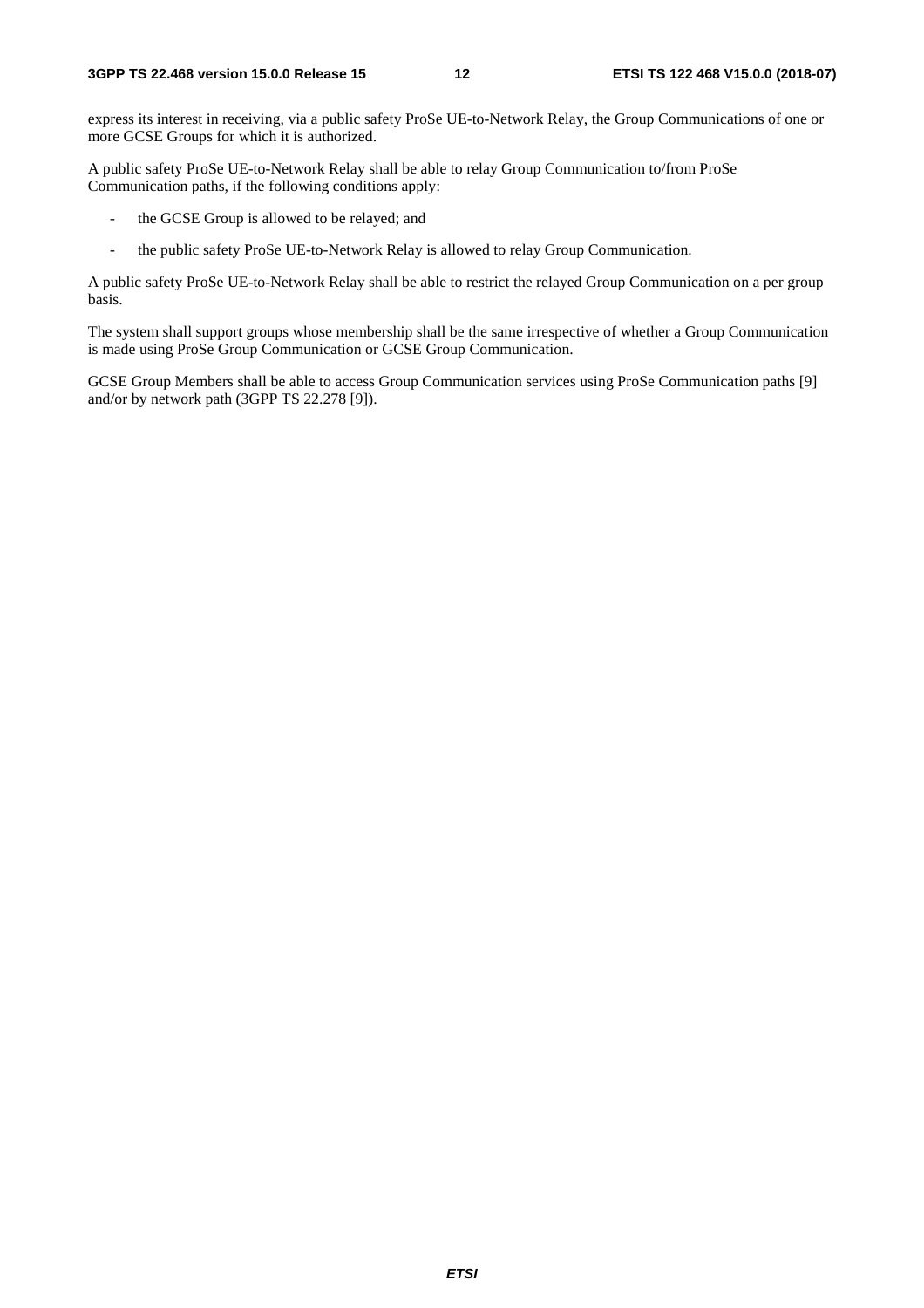express its interest in receiving, via a public safety ProSe UE-to-Network Relay, the Group Communications of one or more GCSE Groups for which it is authorized.

A public safety ProSe UE-to-Network Relay shall be able to relay Group Communication to/from ProSe Communication paths, if the following conditions apply:

- the GCSE Group is allowed to be relayed; and
- the public safety ProSe UE-to-Network Relay is allowed to relay Group Communication.

A public safety ProSe UE-to-Network Relay shall be able to restrict the relayed Group Communication on a per group basis.

The system shall support groups whose membership shall be the same irrespective of whether a Group Communication is made using ProSe Group Communication or GCSE Group Communication.

GCSE Group Members shall be able to access Group Communication services using ProSe Communication paths [9] and/or by network path (3GPP TS 22.278 [9]).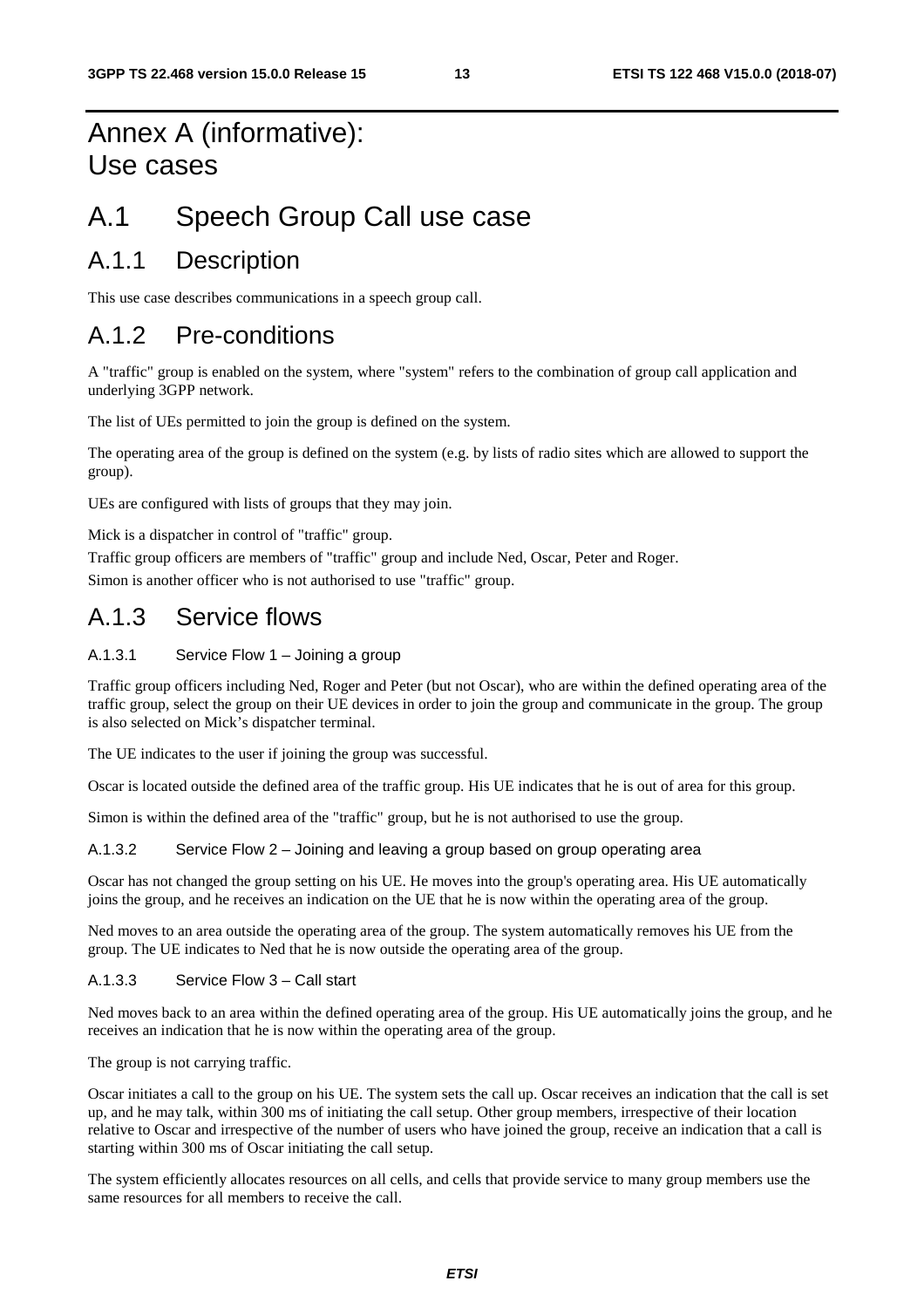## Annex A (informative): Use cases

## A.1 Speech Group Call use case

## A.1.1 Description

This use case describes communications in a speech group call.

## A.1.2 Pre-conditions

A "traffic" group is enabled on the system, where "system" refers to the combination of group call application and underlying 3GPP network.

The list of UEs permitted to join the group is defined on the system.

The operating area of the group is defined on the system (e.g. by lists of radio sites which are allowed to support the group).

UEs are configured with lists of groups that they may join.

Mick is a dispatcher in control of "traffic" group.

Traffic group officers are members of "traffic" group and include Ned, Oscar, Peter and Roger. Simon is another officer who is not authorised to use "traffic" group.

## A.1.3 Service flows

### A.1.3.1 Service Flow 1 – Joining a group

Traffic group officers including Ned, Roger and Peter (but not Oscar), who are within the defined operating area of the traffic group, select the group on their UE devices in order to join the group and communicate in the group. The group is also selected on Mick's dispatcher terminal.

The UE indicates to the user if joining the group was successful.

Oscar is located outside the defined area of the traffic group. His UE indicates that he is out of area for this group.

Simon is within the defined area of the "traffic" group, but he is not authorised to use the group.

### A.1.3.2 Service Flow 2 – Joining and leaving a group based on group operating area

Oscar has not changed the group setting on his UE. He moves into the group's operating area. His UE automatically joins the group, and he receives an indication on the UE that he is now within the operating area of the group.

Ned moves to an area outside the operating area of the group. The system automatically removes his UE from the group. The UE indicates to Ned that he is now outside the operating area of the group.

### A.1.3.3 Service Flow 3 – Call start

Ned moves back to an area within the defined operating area of the group. His UE automatically joins the group, and he receives an indication that he is now within the operating area of the group.

The group is not carrying traffic.

Oscar initiates a call to the group on his UE. The system sets the call up. Oscar receives an indication that the call is set up, and he may talk, within 300 ms of initiating the call setup. Other group members, irrespective of their location relative to Oscar and irrespective of the number of users who have joined the group, receive an indication that a call is starting within 300 ms of Oscar initiating the call setup.

The system efficiently allocates resources on all cells, and cells that provide service to many group members use the same resources for all members to receive the call.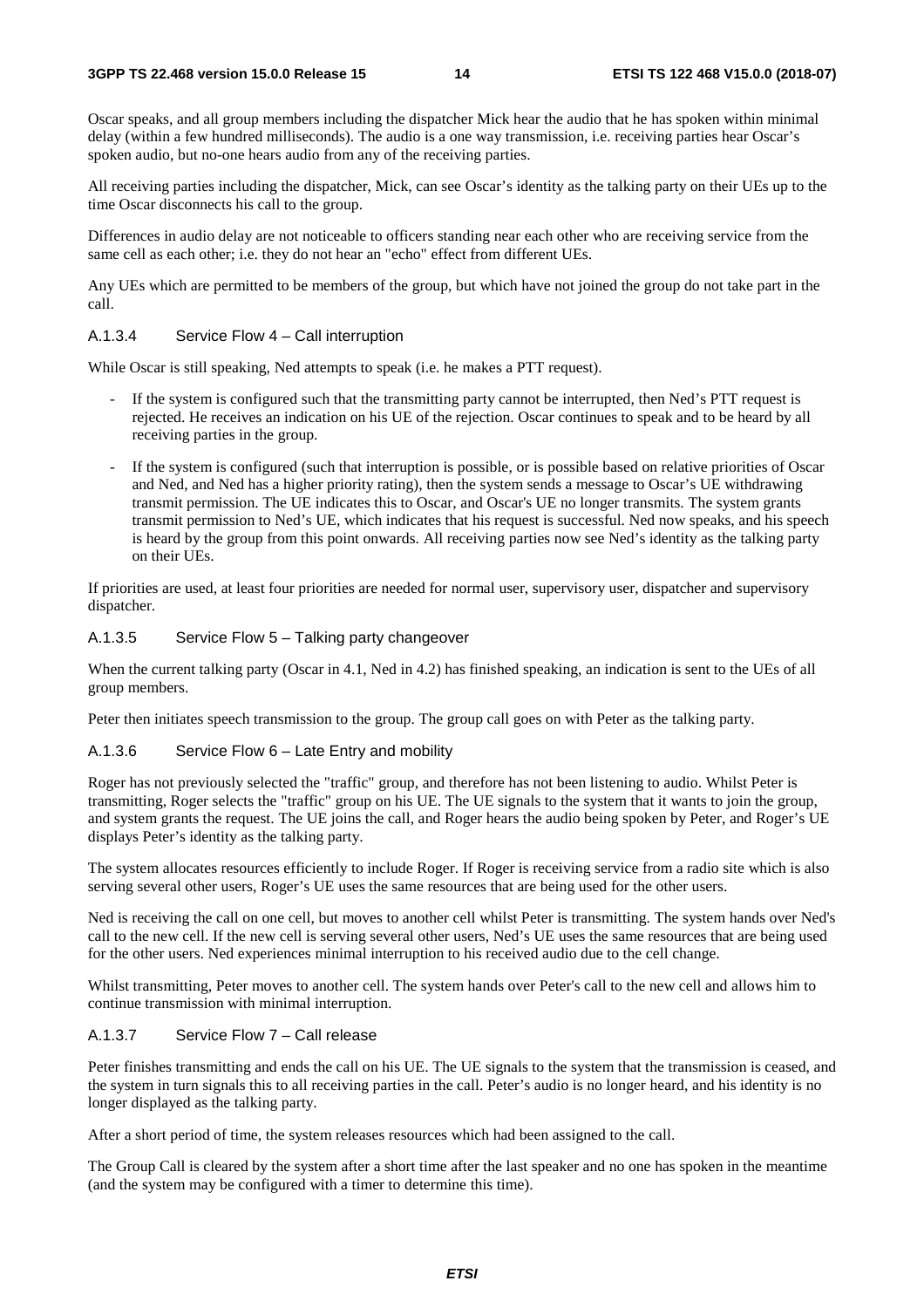Oscar speaks, and all group members including the dispatcher Mick hear the audio that he has spoken within minimal delay (within a few hundred milliseconds). The audio is a one way transmission, i.e. receiving parties hear Oscar's spoken audio, but no-one hears audio from any of the receiving parties.

All receiving parties including the dispatcher, Mick, can see Oscar's identity as the talking party on their UEs up to the time Oscar disconnects his call to the group.

Differences in audio delay are not noticeable to officers standing near each other who are receiving service from the same cell as each other; i.e. they do not hear an "echo" effect from different UEs.

Any UEs which are permitted to be members of the group, but which have not joined the group do not take part in the call.

#### A.1.3.4 Service Flow 4 – Call interruption

While Oscar is still speaking, Ned attempts to speak (i.e. he makes a PTT request).

- If the system is configured such that the transmitting party cannot be interrupted, then Ned's PTT request is rejected. He receives an indication on his UE of the rejection. Oscar continues to speak and to be heard by all receiving parties in the group.
- If the system is configured (such that interruption is possible, or is possible based on relative priorities of Oscar and Ned, and Ned has a higher priority rating), then the system sends a message to Oscar's UE withdrawing transmit permission. The UE indicates this to Oscar, and Oscar's UE no longer transmits. The system grants transmit permission to Ned's UE, which indicates that his request is successful. Ned now speaks, and his speech is heard by the group from this point onwards. All receiving parties now see Ned's identity as the talking party on their UEs.

If priorities are used, at least four priorities are needed for normal user, supervisory user, dispatcher and supervisory dispatcher.

### A.1.3.5 Service Flow 5 – Talking party changeover

When the current talking party (Oscar in 4.1, Ned in 4.2) has finished speaking, an indication is sent to the UEs of all group members.

Peter then initiates speech transmission to the group. The group call goes on with Peter as the talking party.

#### A.1.3.6 Service Flow 6 – Late Entry and mobility

Roger has not previously selected the "traffic" group, and therefore has not been listening to audio. Whilst Peter is transmitting, Roger selects the "traffic" group on his UE. The UE signals to the system that it wants to join the group, and system grants the request. The UE joins the call, and Roger hears the audio being spoken by Peter, and Roger's UE displays Peter's identity as the talking party.

The system allocates resources efficiently to include Roger. If Roger is receiving service from a radio site which is also serving several other users, Roger's UE uses the same resources that are being used for the other users.

Ned is receiving the call on one cell, but moves to another cell whilst Peter is transmitting. The system hands over Ned's call to the new cell. If the new cell is serving several other users, Ned's UE uses the same resources that are being used for the other users. Ned experiences minimal interruption to his received audio due to the cell change.

Whilst transmitting, Peter moves to another cell. The system hands over Peter's call to the new cell and allows him to continue transmission with minimal interruption.

#### A.1.3.7 Service Flow 7 – Call release

Peter finishes transmitting and ends the call on his UE. The UE signals to the system that the transmission is ceased, and the system in turn signals this to all receiving parties in the call. Peter's audio is no longer heard, and his identity is no longer displayed as the talking party.

After a short period of time, the system releases resources which had been assigned to the call.

The Group Call is cleared by the system after a short time after the last speaker and no one has spoken in the meantime (and the system may be configured with a timer to determine this time).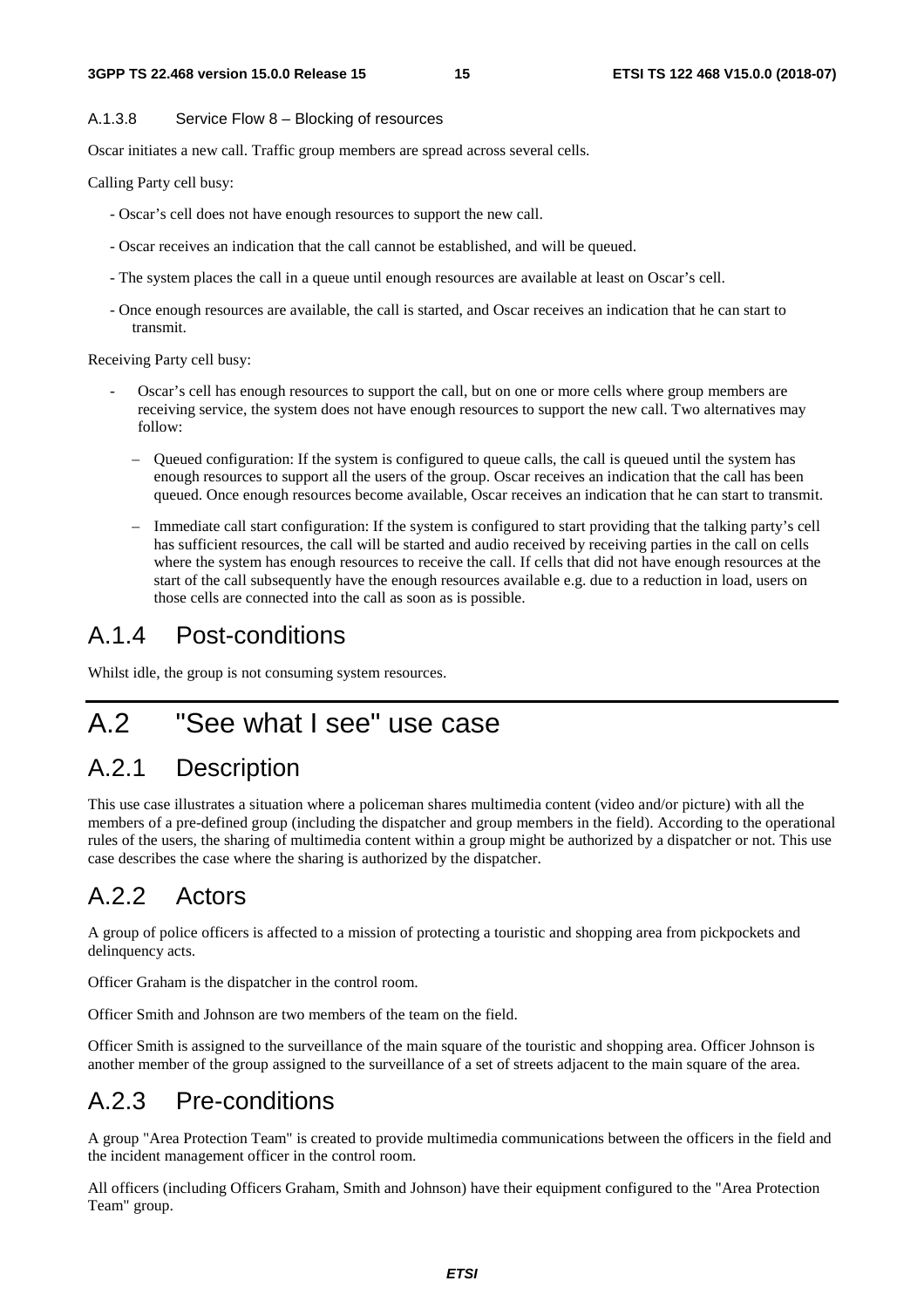#### A.1.3.8 Service Flow 8 – Blocking of resources

Oscar initiates a new call. Traffic group members are spread across several cells.

Calling Party cell busy:

- Oscar's cell does not have enough resources to support the new call.
- Oscar receives an indication that the call cannot be established, and will be queued.
- The system places the call in a queue until enough resources are available at least on Oscar's cell.
- Once enough resources are available, the call is started, and Oscar receives an indication that he can start to transmit.

Receiving Party cell busy:

- Oscar's cell has enough resources to support the call, but on one or more cells where group members are receiving service, the system does not have enough resources to support the new call. Two alternatives may follow:
	- Queued configuration: If the system is configured to queue calls, the call is queued until the system has enough resources to support all the users of the group. Oscar receives an indication that the call has been queued. Once enough resources become available, Oscar receives an indication that he can start to transmit.
	- Immediate call start configuration: If the system is configured to start providing that the talking party's cell has sufficient resources, the call will be started and audio received by receiving parties in the call on cells where the system has enough resources to receive the call. If cells that did not have enough resources at the start of the call subsequently have the enough resources available e.g. due to a reduction in load, users on those cells are connected into the call as soon as is possible.

### A.1.4 Post-conditions

Whilst idle, the group is not consuming system resources.

## A.2 "See what I see" use case

## A.2.1 Description

This use case illustrates a situation where a policeman shares multimedia content (video and/or picture) with all the members of a pre-defined group (including the dispatcher and group members in the field). According to the operational rules of the users, the sharing of multimedia content within a group might be authorized by a dispatcher or not. This use case describes the case where the sharing is authorized by the dispatcher.

## A.2.2 Actors

A group of police officers is affected to a mission of protecting a touristic and shopping area from pickpockets and delinquency acts.

Officer Graham is the dispatcher in the control room.

Officer Smith and Johnson are two members of the team on the field.

Officer Smith is assigned to the surveillance of the main square of the touristic and shopping area. Officer Johnson is another member of the group assigned to the surveillance of a set of streets adjacent to the main square of the area.

## A.2.3 Pre-conditions

A group "Area Protection Team" is created to provide multimedia communications between the officers in the field and the incident management officer in the control room.

All officers (including Officers Graham, Smith and Johnson) have their equipment configured to the "Area Protection Team" group.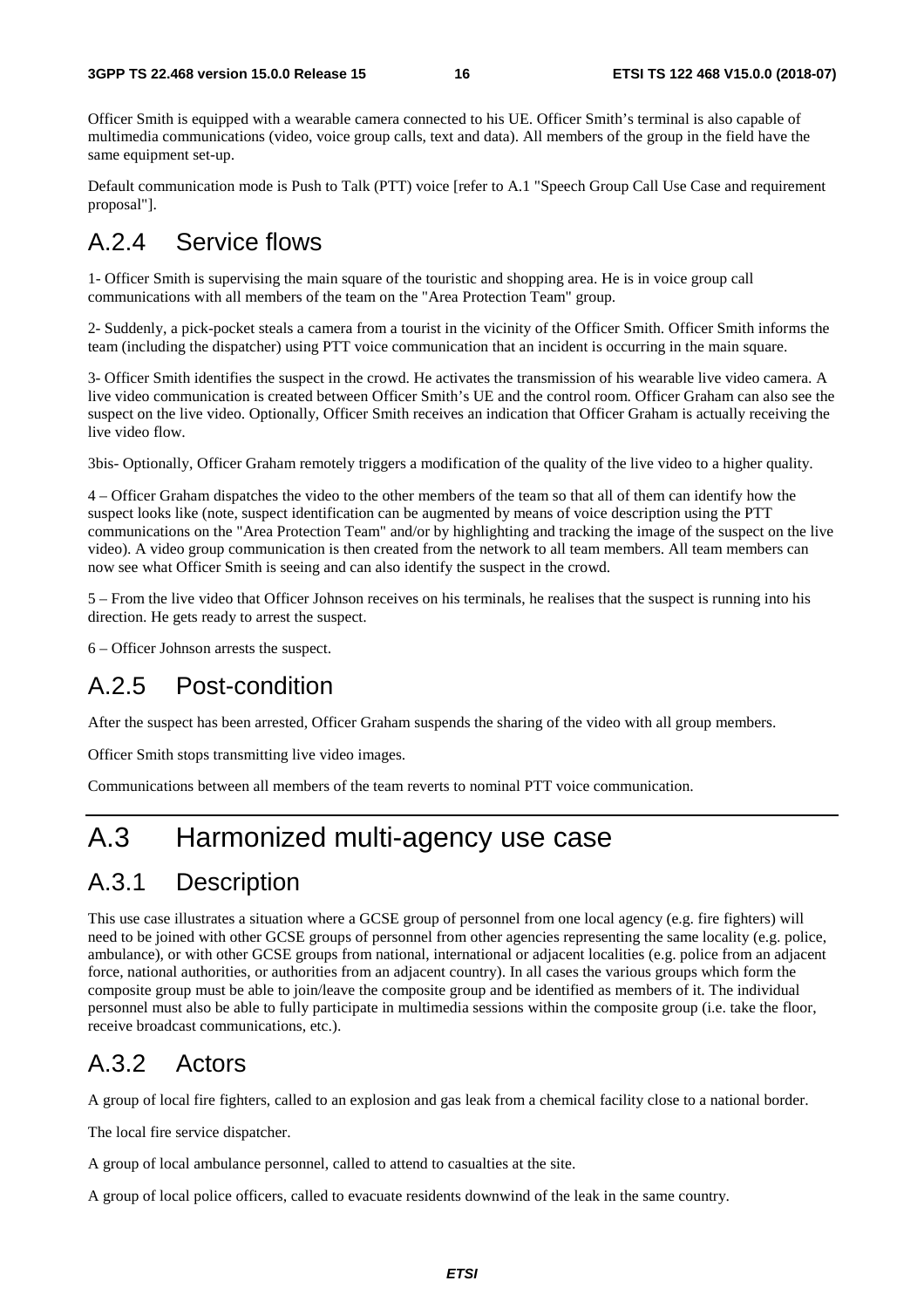Officer Smith is equipped with a wearable camera connected to his UE. Officer Smith's terminal is also capable of multimedia communications (video, voice group calls, text and data). All members of the group in the field have the same equipment set-up.

Default communication mode is Push to Talk (PTT) voice [refer to A.1 "Speech Group Call Use Case and requirement proposal"].

## A.2.4 Service flows

1- Officer Smith is supervising the main square of the touristic and shopping area. He is in voice group call communications with all members of the team on the "Area Protection Team" group.

2- Suddenly, a pick-pocket steals a camera from a tourist in the vicinity of the Officer Smith. Officer Smith informs the team (including the dispatcher) using PTT voice communication that an incident is occurring in the main square.

3- Officer Smith identifies the suspect in the crowd. He activates the transmission of his wearable live video camera. A live video communication is created between Officer Smith's UE and the control room. Officer Graham can also see the suspect on the live video. Optionally, Officer Smith receives an indication that Officer Graham is actually receiving the live video flow.

3bis- Optionally, Officer Graham remotely triggers a modification of the quality of the live video to a higher quality.

4 – Officer Graham dispatches the video to the other members of the team so that all of them can identify how the suspect looks like (note, suspect identification can be augmented by means of voice description using the PTT communications on the "Area Protection Team" and/or by highlighting and tracking the image of the suspect on the live video). A video group communication is then created from the network to all team members. All team members can now see what Officer Smith is seeing and can also identify the suspect in the crowd.

5 – From the live video that Officer Johnson receives on his terminals, he realises that the suspect is running into his direction. He gets ready to arrest the suspect.

6 – Officer Johnson arrests the suspect.

## A.2.5 Post-condition

After the suspect has been arrested, Officer Graham suspends the sharing of the video with all group members.

Officer Smith stops transmitting live video images.

Communications between all members of the team reverts to nominal PTT voice communication.

## A.3 Harmonized multi-agency use case

## A.3.1 Description

This use case illustrates a situation where a GCSE group of personnel from one local agency (e.g. fire fighters) will need to be joined with other GCSE groups of personnel from other agencies representing the same locality (e.g. police, ambulance), or with other GCSE groups from national, international or adjacent localities (e.g. police from an adjacent force, national authorities, or authorities from an adjacent country). In all cases the various groups which form the composite group must be able to join/leave the composite group and be identified as members of it. The individual personnel must also be able to fully participate in multimedia sessions within the composite group (i.e. take the floor, receive broadcast communications, etc.).

## A.3.2 Actors

A group of local fire fighters, called to an explosion and gas leak from a chemical facility close to a national border.

The local fire service dispatcher.

A group of local ambulance personnel, called to attend to casualties at the site.

A group of local police officers, called to evacuate residents downwind of the leak in the same country.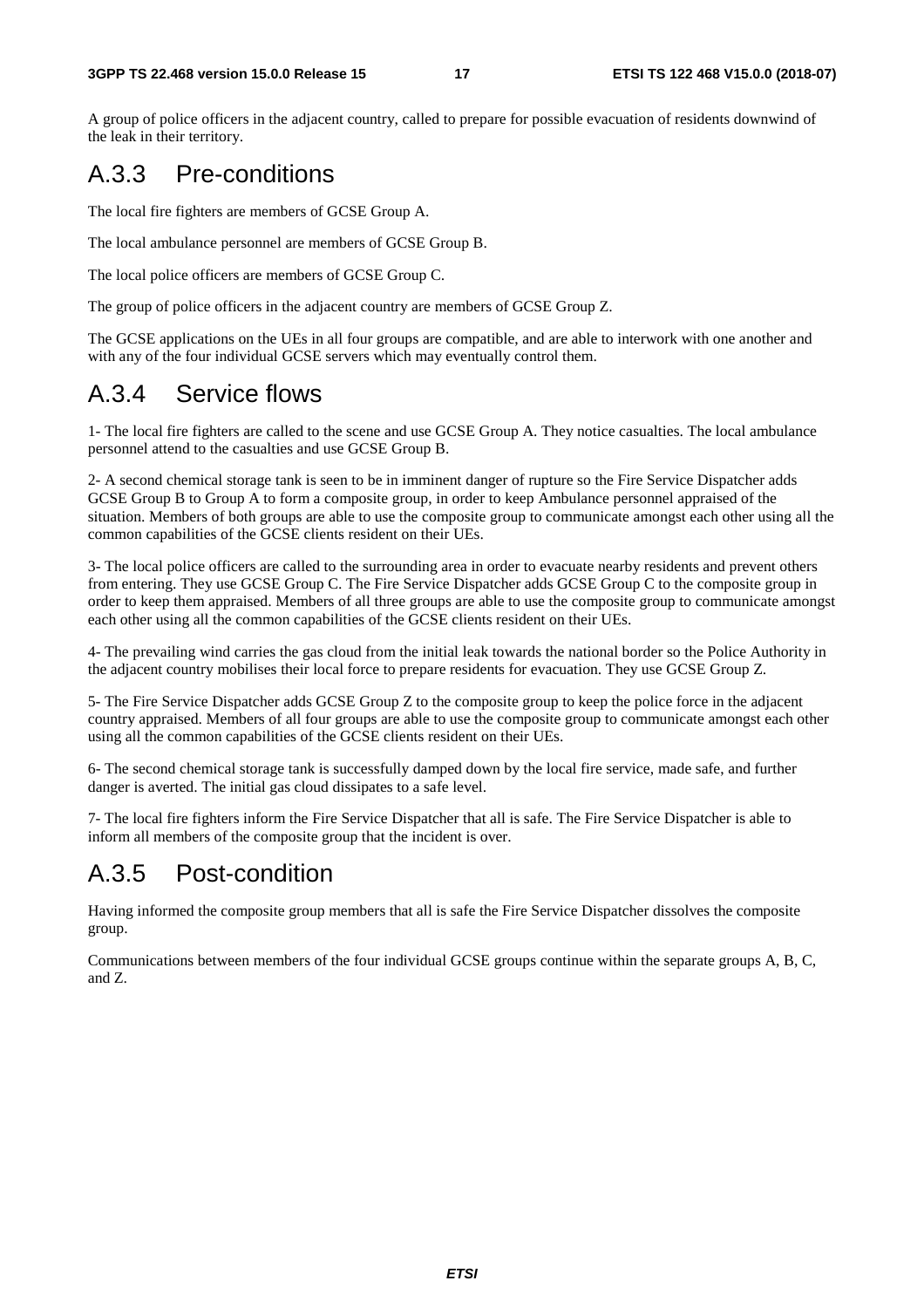A group of police officers in the adjacent country, called to prepare for possible evacuation of residents downwind of the leak in their territory.

## A.3.3 Pre-conditions

The local fire fighters are members of GCSE Group A.

The local ambulance personnel are members of GCSE Group B.

The local police officers are members of GCSE Group C.

The group of police officers in the adjacent country are members of GCSE Group Z.

The GCSE applications on the UEs in all four groups are compatible, and are able to interwork with one another and with any of the four individual GCSE servers which may eventually control them.

## A.3.4 Service flows

1- The local fire fighters are called to the scene and use GCSE Group A. They notice casualties. The local ambulance personnel attend to the casualties and use GCSE Group B.

2- A second chemical storage tank is seen to be in imminent danger of rupture so the Fire Service Dispatcher adds GCSE Group B to Group A to form a composite group, in order to keep Ambulance personnel appraised of the situation. Members of both groups are able to use the composite group to communicate amongst each other using all the common capabilities of the GCSE clients resident on their UEs.

3- The local police officers are called to the surrounding area in order to evacuate nearby residents and prevent others from entering. They use GCSE Group C. The Fire Service Dispatcher adds GCSE Group C to the composite group in order to keep them appraised. Members of all three groups are able to use the composite group to communicate amongst each other using all the common capabilities of the GCSE clients resident on their UEs.

4- The prevailing wind carries the gas cloud from the initial leak towards the national border so the Police Authority in the adjacent country mobilises their local force to prepare residents for evacuation. They use GCSE Group Z.

5- The Fire Service Dispatcher adds GCSE Group Z to the composite group to keep the police force in the adjacent country appraised. Members of all four groups are able to use the composite group to communicate amongst each other using all the common capabilities of the GCSE clients resident on their UEs.

6- The second chemical storage tank is successfully damped down by the local fire service, made safe, and further danger is averted. The initial gas cloud dissipates to a safe level.

7- The local fire fighters inform the Fire Service Dispatcher that all is safe. The Fire Service Dispatcher is able to inform all members of the composite group that the incident is over.

## A.3.5 Post-condition

Having informed the composite group members that all is safe the Fire Service Dispatcher dissolves the composite group.

Communications between members of the four individual GCSE groups continue within the separate groups A, B, C, and Z.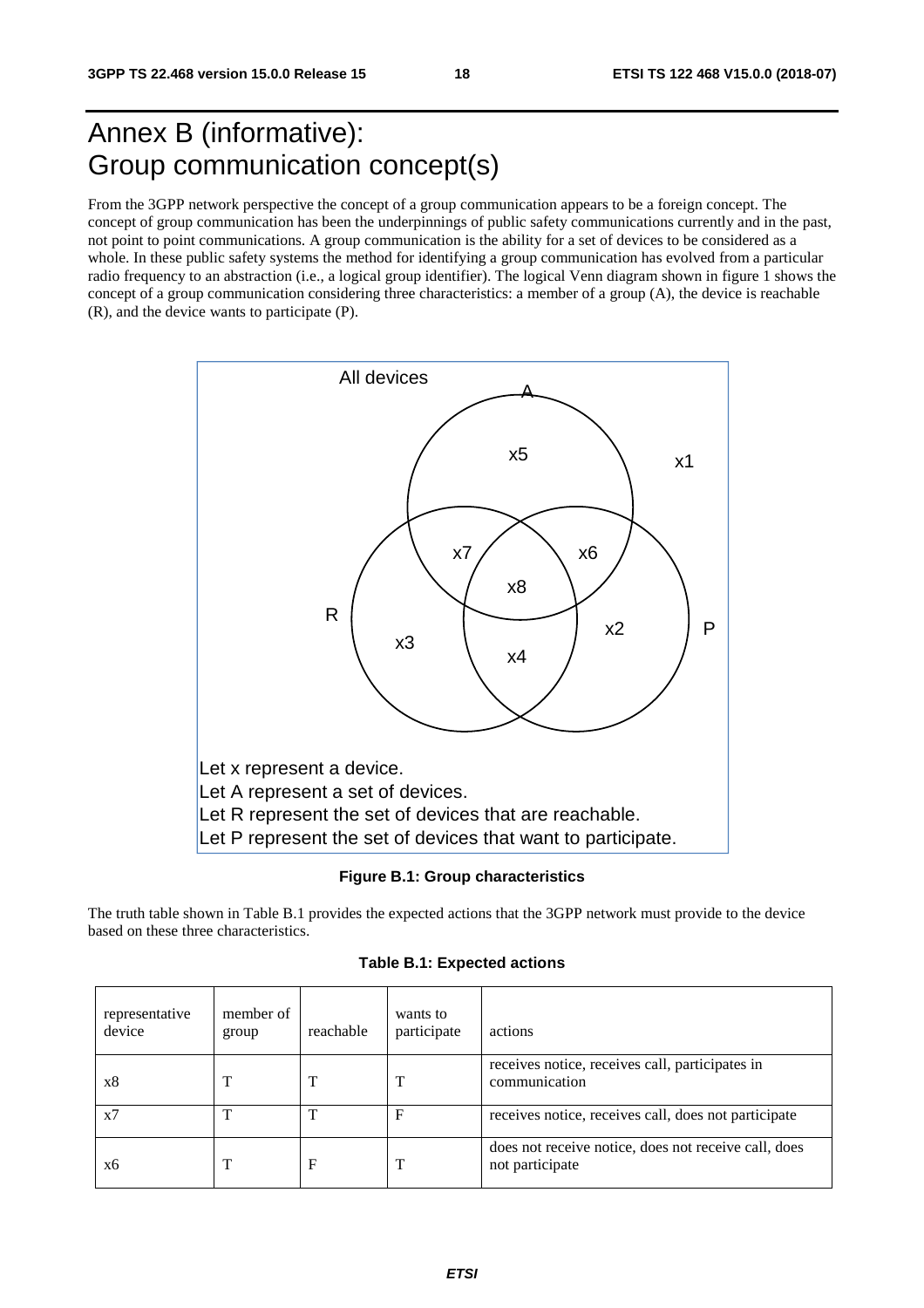## Annex B (informative): Group communication concept(s)

From the 3GPP network perspective the concept of a group communication appears to be a foreign concept. The concept of group communication has been the underpinnings of public safety communications currently and in the past, not point to point communications. A group communication is the ability for a set of devices to be considered as a whole. In these public safety systems the method for identifying a group communication has evolved from a particular radio frequency to an abstraction (i.e., a logical group identifier). The logical Venn diagram shown in figure 1 shows the concept of a group communication considering three characteristics: a member of a group (A), the device is reachable (R), and the device wants to participate (P).



**Figure B.1: Group characteristics** 

The truth table shown in Table B.1 provides the expected actions that the 3GPP network must provide to the device based on these three characteristics.

**Table B.1: Expected actions** 

| representative<br>device | member of<br>group | reachable | wants to<br>participate | actions                                                                 |
|--------------------------|--------------------|-----------|-------------------------|-------------------------------------------------------------------------|
| x8                       |                    |           |                         | receives notice, receives call, participates in<br>communication        |
| x7                       |                    |           |                         | receives notice, receives call, does not participate                    |
| x6                       |                    | F         |                         | does not receive notice, does not receive call, does<br>not participate |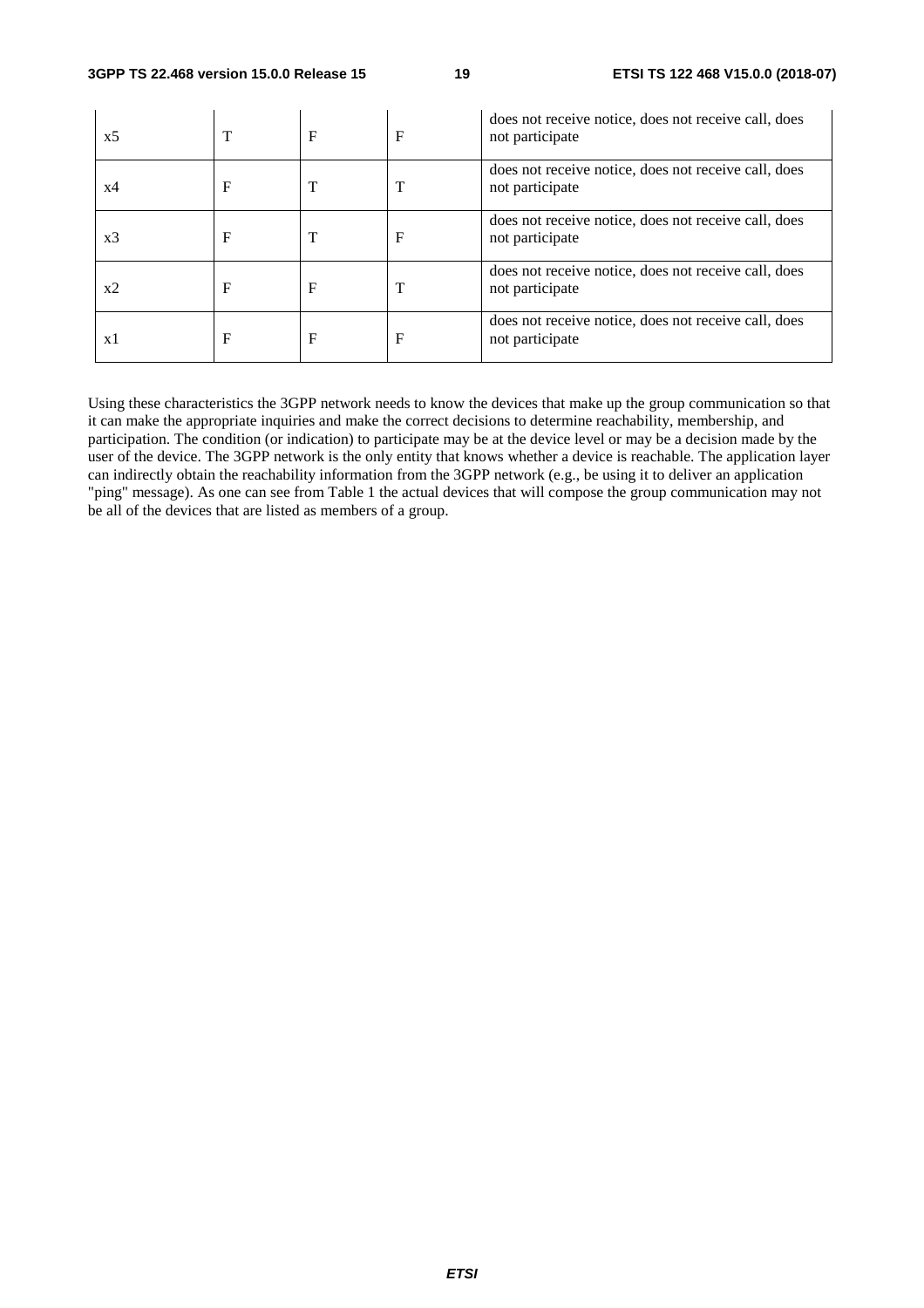| x5 |   | $\mathbf F$ | F | does not receive notice, does not receive call, does<br>not participate |
|----|---|-------------|---|-------------------------------------------------------------------------|
| x4 | F | т           |   | does not receive notice, does not receive call, does<br>not participate |
| x3 | F | T           | F | does not receive notice, does not receive call, does<br>not participate |
| x2 | F | $\mathbf F$ |   | does not receive notice, does not receive call, does<br>not participate |
| x1 | F | $\mathbf F$ | F | does not receive notice, does not receive call, does<br>not participate |

Using these characteristics the 3GPP network needs to know the devices that make up the group communication so that it can make the appropriate inquiries and make the correct decisions to determine reachability, membership, and participation. The condition (or indication) to participate may be at the device level or may be a decision made by the user of the device. The 3GPP network is the only entity that knows whether a device is reachable. The application layer can indirectly obtain the reachability information from the 3GPP network (e.g., be using it to deliver an application "ping" message). As one can see from Table 1 the actual devices that will compose the group communication may not be all of the devices that are listed as members of a group.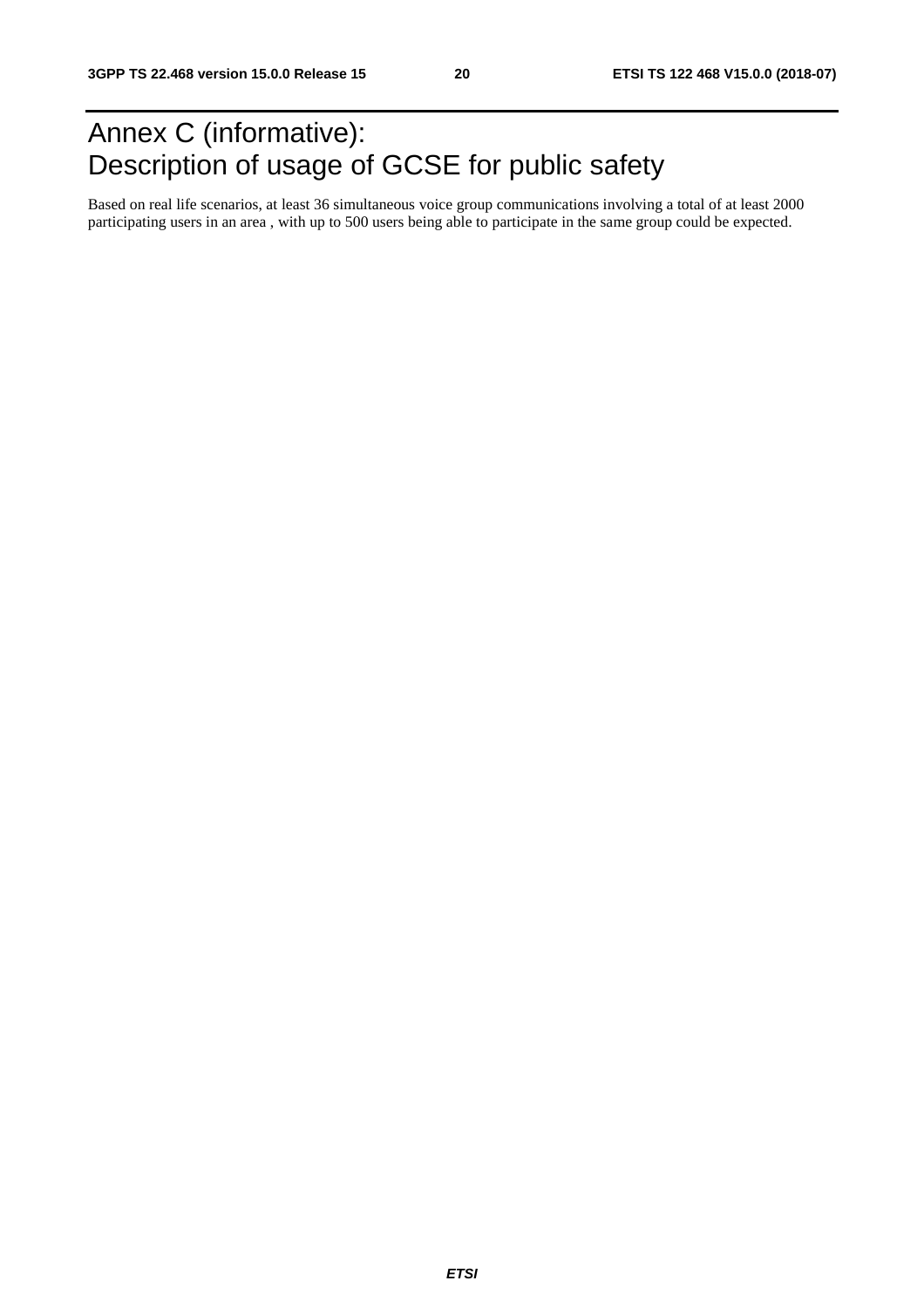## Annex C (informative): Description of usage of GCSE for public safety

Based on real life scenarios, at least 36 simultaneous voice group communications involving a total of at least 2000 participating users in an area , with up to 500 users being able to participate in the same group could be expected.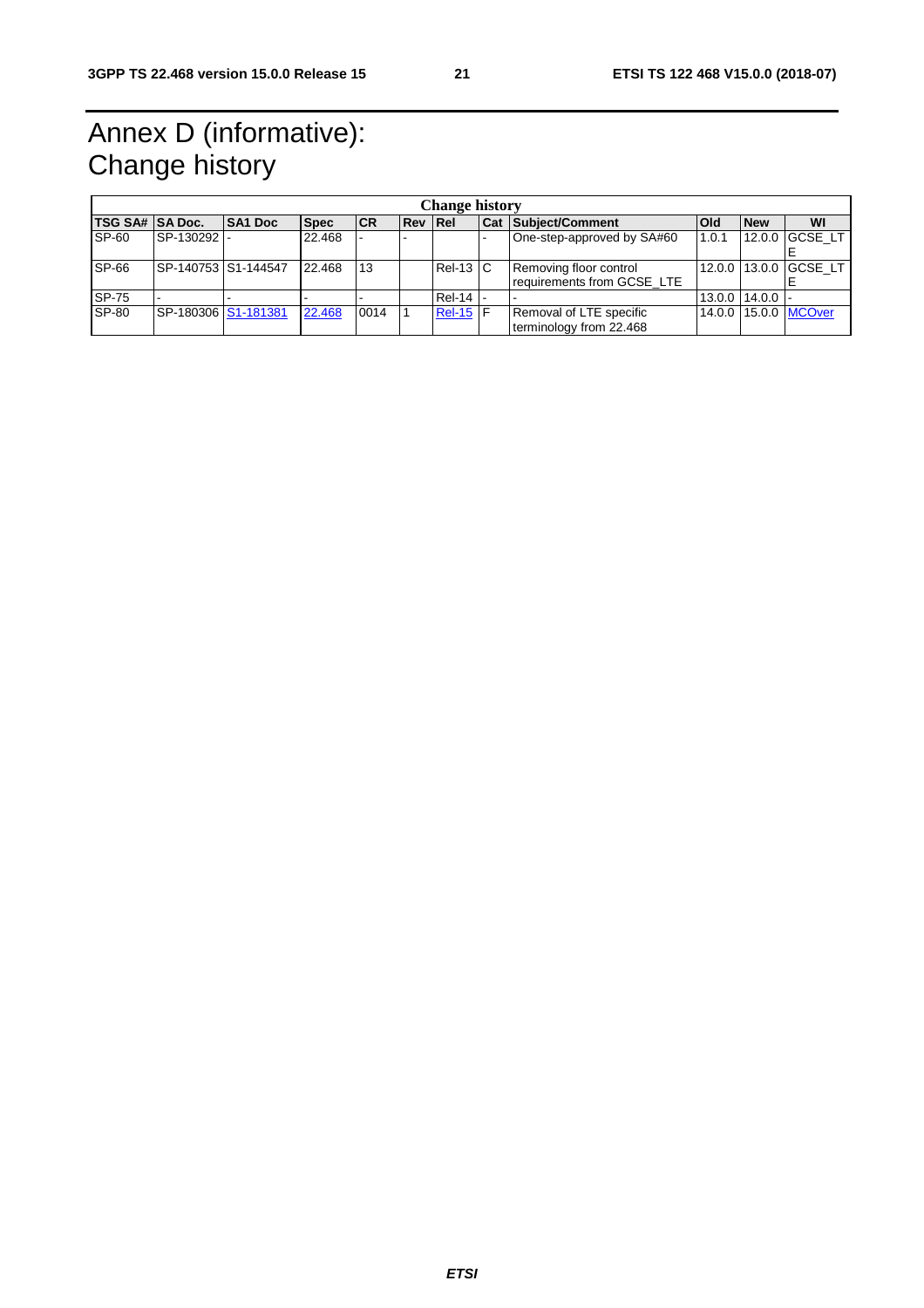## Annex D (informative): Change history

| <b>Change history</b>  |                     |                |             |           |                |              |  |                                                      |            |                         |                       |
|------------------------|---------------------|----------------|-------------|-----------|----------------|--------------|--|------------------------------------------------------|------------|-------------------------|-----------------------|
| <b>TSG SA# SA Doc.</b> |                     | <b>SA1 Doc</b> | <b>Spec</b> | <b>CR</b> | <b>Rev Rel</b> |              |  | <b>Cat Subject/Comment</b>                           | <b>Old</b> | <b>New</b>              | WI                    |
| SP-60                  | SP-130292           |                | 22.468      |           |                |              |  | One-step-approved by SA#60                           | 1.0.1      | 12.0.0                  | GCSE LT               |
| <b>SP-66</b>           | SP-140753 S1-144547 |                | 22.468      | 13        |                | $Rel-13$ $C$ |  | Removing floor control<br>requirements from GCSE LTE |            |                         | 12.0.0 13.0.0 GCSE LT |
| SP-75                  |                     |                |             |           |                | Rel-14  -    |  |                                                      |            | $13.0.0$   $14.0.0$   - |                       |
| <b>SP-80</b>           | SP-180306 S1-181381 |                | 22.468      | 0014      |                | $Rel-15$ F   |  | Removal of LTE specific<br>terminology from 22.468   |            |                         | 14.0.0 15.0.0 MCOver  |